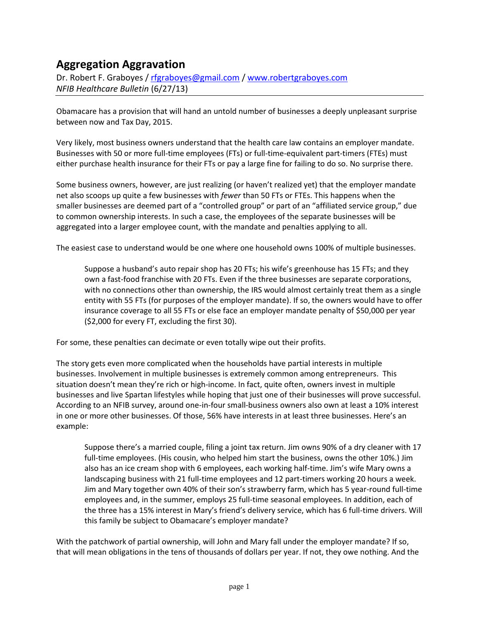# **Aggregation Aggravation**

Dr. Robert F. Graboyes / [rfgraboyes@gmail.com](mailto:rfgraboyes@gmail.com) / [www.robertgraboyes.com](http://www.robertgraboyes.com/) *NFIB Healthcare Bulletin* (6/27/13)

Obamacare has a provision that will hand an untold number of businesses a deeply unpleasant surprise between now and Tax Day, 2015.

Very likely, most business owners understand that the health care law contains an employer mandate. Businesses with 50 or more full-time employees (FTs) or full-time-equivalent part-timers (FTEs) must either purchase health insurance for their FTs or pay a large fine for failing to do so. No surprise there.

Some business owners, however, are just realizing (or haven't realized yet) that the employer mandate net also scoops up quite a few businesses with *fewer* than 50 FTs or FTEs. This happens when the smaller businesses are deemed part of a "controlled group" or part of an "affiliated service group," due to common ownership interests. In such a case, the employees of the separate businesses will be aggregated into a larger employee count, with the mandate and penalties applying to all.

The easiest case to understand would be one where one household owns 100% of multiple businesses.

Suppose a husband's auto repair shop has 20 FTs; his wife's greenhouse has 15 FTs; and they own a fast-food franchise with 20 FTs. Even if the three businesses are separate corporations, with no connections other than ownership, the IRS would almost certainly treat them as a single entity with 55 FTs (for purposes of the employer mandate). If so, the owners would have to offer insurance coverage to all 55 FTs or else face an employer mandate penalty of \$50,000 per year (\$2,000 for every FT, excluding the first 30).

For some, these penalties can decimate or even totally wipe out their profits.

The story gets even more complicated when the households have partial interests in multiple businesses. Involvement in multiple businesses is extremely common among entrepreneurs. This situation doesn't mean they're rich or high-income. In fact, quite often, owners invest in multiple businesses and live Spartan lifestyles while hoping that just one of their businesses will prove successful. According to an NFIB survey, around one-in-four small-business owners also own at least a 10% interest in one or more other businesses. Of those, 56% have interests in at least three businesses. Here's an example:

Suppose there's a married couple, filing a joint tax return. Jim owns 90% of a dry cleaner with 17 full-time employees. (His cousin, who helped him start the business, owns the other 10%.) Jim also has an ice cream shop with 6 employees, each working half-time. Jim's wife Mary owns a landscaping business with 21 full-time employees and 12 part-timers working 20 hours a week. Jim and Mary together own 40% of their son's strawberry farm, which has 5 year-round full-time employees and, in the summer, employs 25 full-time seasonal employees. In addition, each of the three has a 15% interest in Mary's friend's delivery service, which has 6 full-time drivers. Will this family be subject to Obamacare's employer mandate?

With the patchwork of partial ownership, will John and Mary fall under the employer mandate? If so, that will mean obligations in the tens of thousands of dollars per year. If not, they owe nothing. And the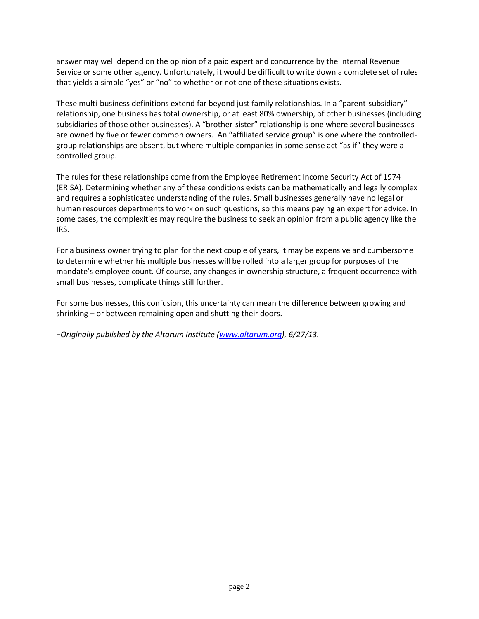answer may well depend on the opinion of a paid expert and concurrence by the Internal Revenue Service or some other agency. Unfortunately, it would be difficult to write down a complete set of rules that yields a simple "yes" or "no" to whether or not one of these situations exists.

These multi-business definitions extend far beyond just family relationships. In a "parent-subsidiary" relationship, one business has total ownership, or at least 80% ownership, of other businesses (including subsidiaries of those other businesses). A "brother-sister" relationship is one where several businesses are owned by five or fewer common owners. An "affiliated service group" is one where the controlledgroup relationships are absent, but where multiple companies in some sense act "as if" they were a controlled group.

The rules for these relationships come from the Employee Retirement Income Security Act of 1974 (ERISA). Determining whether any of these conditions exists can be mathematically and legally complex and requires a sophisticated understanding of the rules. Small businesses generally have no legal or human resources departments to work on such questions, so this means paying an expert for advice. In some cases, the complexities may require the business to seek an opinion from a public agency like the IRS.

For a business owner trying to plan for the next couple of years, it may be expensive and cumbersome to determine whether his multiple businesses will be rolled into a larger group for purposes of the mandate's employee count. Of course, any changes in ownership structure, a frequent occurrence with small businesses, complicate things still further.

For some businesses, this confusion, this uncertainty can mean the difference between growing and shrinking – or between remaining open and shutting their doors.

*−Originally published by the Altarum Institute ([www.altarum.org\)](http://www.altarum.org/), 6/27/13.*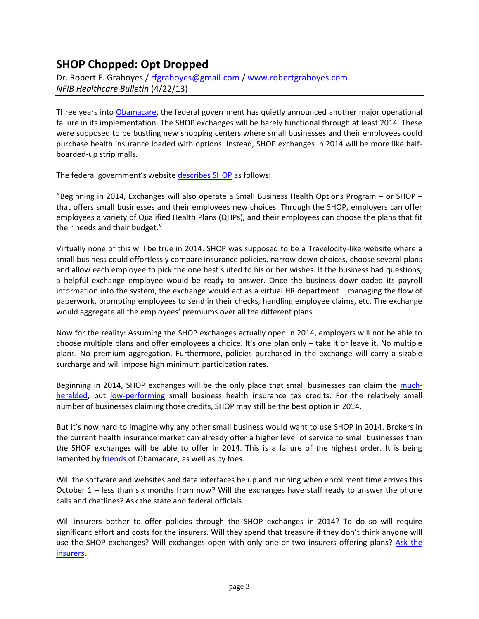# **SHOP Chopped: Opt Dropped**

Dr. Robert F. Graboyes / [rfgraboyes@gmail.com](mailto:rfgraboyes@gmail.com) / [www.robertgraboyes.com](http://www.robertgraboyes.com/) *NFIB Healthcare Bulletin* (4/22/13)

Three years into [Obamacare,](http://www.altarum.org/forum/post/will-ppaca-self-repeal) the federal government has quietly announced another major operational failure in its implementation. The SHOP exchanges will be barely functional through at least 2014. These were supposed to be bustling new shopping centers where small businesses and their employees could purchase health insurance loaded with options. Instead, SHOP exchanges in 2014 will be more like halfboarded-up strip malls.

The federal government's website [describes SHOP](http://www.healthcare.gov/news/factsheets/2011/07/exchanges07112011c.html) as follows:

"Beginning in 2014, Exchanges will also operate a Small Business Health Options Program – or SHOP – that offers small businesses and their employees new choices. Through the SHOP, employers can offer employees a variety of Qualified Health Plans (QHPs), and their employees can choose the plans that fit their needs and their budget."

Virtually none of this will be true in 2014. SHOP was supposed to be a Travelocity-like website where a small business could effortlessly compare insurance policies, narrow down choices, choose several plans and allow each employee to pick the one best suited to his or her wishes. If the business had questions, a helpful exchange employee would be ready to answer. Once the business downloaded its payroll information into the system, the exchange would act as a virtual HR department – managing the flow of paperwork, prompting employees to send in their checks, handling employee claims, etc. The exchange would aggregate all the employees' premiums over all the different plans.

Now for the reality: Assuming the SHOP exchanges actually open in 2014, employers will not be able to choose multiple plans and offer employees a choice. It's one plan only – take it or leave it. No multiple plans. No premium aggregation. Furthermore, policies purchased in the exchange will carry a sizable surcharge and will impose high minimum participation rates.

Beginning in 2014, SHOP exchanges will be the only place that small businesses can claim the [much](http://www.whitehouse.gov/healthreform/small-business/tax-credit)[heralded,](http://www.whitehouse.gov/healthreform/small-business/tax-credit) but [low-performing](http://www.gao.gov/assets/600/590832.pdf) small business health insurance tax credits. For the relatively small number of businesses claiming those credits, SHOP may still be the best option in 2014.

But it's now hard to imagine why any other small business would want to use SHOP in 2014. Brokers in the current health insurance market can already offer a higher level of service to small businesses than the SHOP exchanges will be able to offer in 2014. This is a failure of the highest order. It is being lamented b[y friends](http://healthaffairs.org/blog/2013/03/01/implementing-health-reform-a-burst-of-regulatory-activity/) of Obamacare, as well as by foes.

Will the software and websites and data interfaces be up and running when enrollment time arrives this October 1 – less than six months from now? Will the exchanges have staff ready to answer the phone calls and chatlines? Ask the state and federal officials.

Will insurers bother to offer policies through the SHOP exchanges in 2014? To do so will require significant effort and costs for the insurers. Will they spend that treasure if they don't think anyone will use the SHOP exchanges? Will exchanges open with only one or two insurers offering plans? Ask the [insurers.](http://insureblog.blogspot.com/2013/03/obamacare-exchanges-hide-and-seek.html)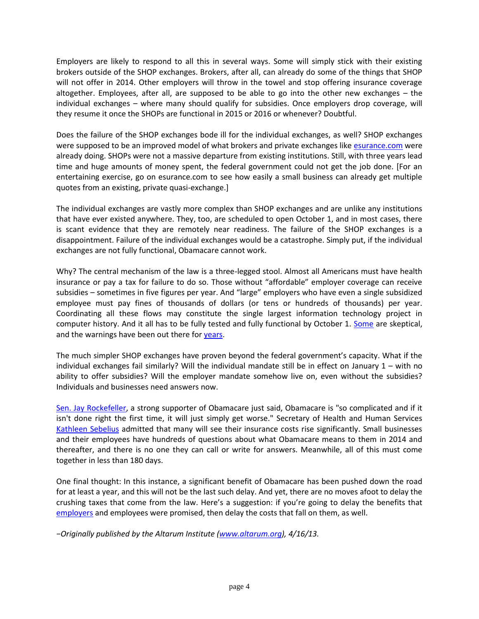Employers are likely to respond to all this in several ways. Some will simply stick with their existing brokers outside of the SHOP exchanges. Brokers, after all, can already do some of the things that SHOP will not offer in 2014. Other employers will throw in the towel and stop offering insurance coverage altogether. Employees, after all, are supposed to be able to go into the other new exchanges – the individual exchanges – where many should qualify for subsidies. Once employers drop coverage, will they resume it once the SHOPs are functional in 2015 or 2016 or whenever? Doubtful.

Does the failure of the SHOP exchanges bode ill for the individual exchanges, as well? SHOP exchanges were supposed to be an improved model of what brokers and private exchanges like [esurance.com](http://www.esurance.com/) were already doing. SHOPs were not a massive departure from existing institutions. Still, with three years lead time and huge amounts of money spent, the federal government could not get the job done. [For an entertaining exercise, go on esurance.com to see how easily a small business can already get multiple quotes from an existing, private quasi-exchange.]

The individual exchanges are vastly more complex than SHOP exchanges and are unlike any institutions that have ever existed anywhere. They, too, are scheduled to open October 1, and in most cases, there is scant evidence that they are remotely near readiness. The failure of the SHOP exchanges is a disappointment. Failure of the individual exchanges would be a catastrophe. Simply put, if the individual exchanges are not fully functional, Obamacare cannot work.

Why? The central mechanism of the law is a three-legged stool. Almost all Americans must have health insurance or pay a tax for failure to do so. Those without "affordable" employer coverage can receive subsidies – sometimes in five figures per year. And "large" employers who have even a single subsidized employee must pay fines of thousands of dollars (or tens or hundreds of thousands) per year. Coordinating all these flows may constitute the single largest information technology project in computer history. And it all has to be fully tested and fully functional by October 1. [Some](http://washingtonexaminer.com/more-on-the-obamacare-it-nightmare/article/2524900) are skeptical, and the warnings have been out there fo[r years.](http://www.nga.org/files/live/sites/NGA/files/pdf/1109NGAEXCHANGESSUMMARY.PDF)

The much simpler SHOP exchanges have proven beyond the federal government's capacity. What if the individual exchanges fail similarly? Will the individual mandate still be in effect on January 1 – with no ability to offer subsidies? Will the employer mandate somehow live on, even without the subsidies? Individuals and businesses need answers now.

[Sen. Jay Rockefeller,](http://washingtonexaminer.com/obamacare-architect-rockefeller-its-beyond-comprehension/article/2526681) a strong supporter of Obamacare just said, Obamacare is "so complicated and if it isn't done right the first time, it will just simply get worse." Secretary of Health and Human Services [Kathleen Sebelius](http://thehill.com/blogs/healthwatch/health-reform-implementation/290603-white-house-on-defense-after-sebelius-remark-on-health-law#ixzz2PxrwWyR1) admitted that many will see their insurance costs rise significantly. Small businesses and their employees have hundreds of questions about what Obamacare means to them in 2014 and thereafter, and there is no one they can call or write for answers. Meanwhile, all of this must come together in less than 180 days.

One final thought: In this instance, a significant benefit of Obamacare has been pushed down the road for at least a year, and this will not be the last such delay. And yet, there are no moves afoot to delay the crushing taxes that come from the law. Here's a suggestion: if you're going to delay the benefits that [employers](http://www.altarum.org/forum/post/end-employer-mandate) and employees were promised, then delay the costs that fall on them, as well.

*−Originally published by the Altarum Institute ([www.altarum.org\)](http://www.altarum.org/), 4/16/13.*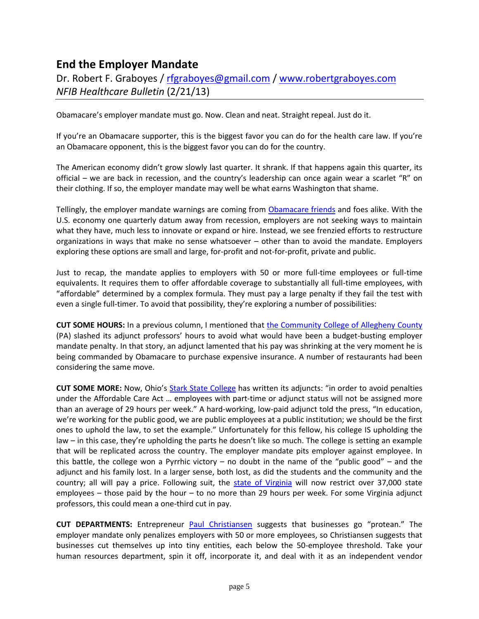# **End the Employer Mandate**

Dr. Robert F. Graboyes / [rfgraboyes@gmail.com](mailto:rfgraboyes@gmail.com) / [www.robertgraboyes.com](http://www.robertgraboyes.com/) *NFIB Healthcare Bulletin* (2/21/13)

Obamacare's employer mandate must go. Now. Clean and neat. Straight repeal. Just do it.

If you're an Obamacare supporter, this is the biggest favor you can do for the health care law. If you're an Obamacare opponent, this is the biggest favor you can do for the country.

The American economy didn't grow slowly last quarter. It shrank. If that happens again this quarter, its official – we are back in recession, and the country's leadership can once again wear a scarlet "R" on their clothing. If so, the employer mandate may well be what earns Washington that shame.

Tellingly, the employer mandate warnings are coming from [Obamacare friends](http://blogs.the-american-interest.com/wrm/2013/02/15/key-democrats-turn-on-obamacare/) and foes alike. With the U.S. economy one quarterly datum away from recession, employers are not seeking ways to maintain what they have, much less to innovate or expand or hire. Instead, we see frenzied efforts to restructure organizations in ways that make no sense whatsoever – other than to avoid the mandate. Employers exploring these options are small and large, for-profit and not-for-profit, private and public.

Just to recap, the mandate applies to employers with 50 or more full-time employees or full-time equivalents. It requires them to offer affordable coverage to substantially all full-time employees, with "affordable" determined by a complex formula. They must pay a large penalty if they fail the test with even a single full-timer. To avoid that possibility, they're exploring a number of possibilities:

**CUT SOME HOURS:** In a previous column, I mentioned that [the Community College of Allegheny County](http://www.post-gazette.com/stories/local/neighborhoods-city/health-care-law-brings-double-dose-of-trouble-for-ccac-part-time-profs-662697/) (PA) slashed its adjunct professors' hours to avoid what would have been a budget-busting employer mandate penalty. In that story, an adjunct lamented that his pay was shrinking at the very moment he is being commanded by Obamacare to purchase expensive insurance. A number of restaurants had been considering the same move.

**CUT SOME MORE:** Now, Ohio's [Stark State College](http://blogs.the-american-interest.com/wrm/2013/01/20/universities-bludgeon-adjuncts-with-obamacare-loophole/) has written its adjuncts: "in order to avoid penalties under the Affordable Care Act … employees with part-time or adjunct status will not be assigned more than an average of 29 hours per week." A hard-working, low-paid adjunct told the press, "In education, we're working for the public good, we are public employees at a public institution; we should be the first ones to uphold the law, to set the example." Unfortunately for this fellow, his college IS upholding the law – in this case, they're upholding the parts he doesn't like so much. The college is setting an example that will be replicated across the country. The employer mandate pits employer against employee. In this battle, the college won a Pyrrhic victory – no doubt in the name of the "public good" – and the adjunct and his family lost. In a larger sense, both lost, as did the students and the community and the country; all will pay a price. Following suit, the [state of Virginia](http://hamptonroads.com/2013/02/state-workers-parttime-hours-capped-due-health-law) will now restrict over 37,000 state employees – those paid by the hour – to no more than 29 hours per week. For some Virginia adjunct professors, this could mean a one-third cut in pay.

**CUT DEPARTMENTS:** Entrepreneur [Paul Christiansen](http://online.wsj.com/article/SB10001424127887324461604578193472562389926.html) suggests that businesses go "protean." The employer mandate only penalizes employers with 50 or more employees, so Christiansen suggests that businesses cut themselves up into tiny entities, each below the 50-employee threshold. Take your human resources department, spin it off, incorporate it, and deal with it as an independent vendor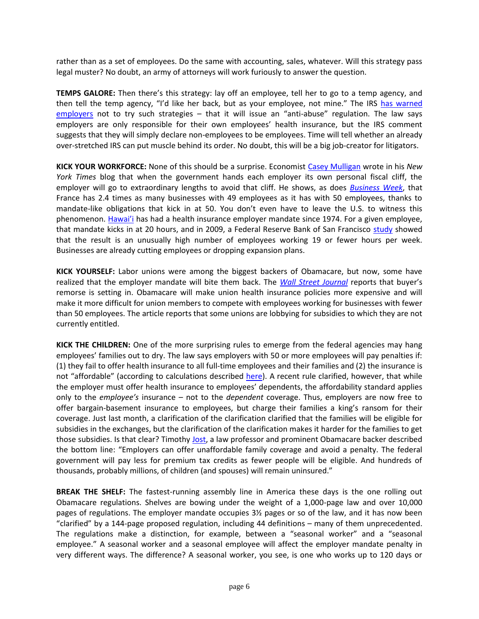rather than as a set of employees. Do the same with accounting, sales, whatever. Will this strategy pass legal muster? No doubt, an army of attorneys will work furiously to answer the question.

**TEMPS GALORE:** Then there's this strategy: lay off an employee, tell her to go to a temp agency, and then tell the temp agency, "I'd like her back, but as your employee, not mine." The IRS [has warned](http://cnsnews.com/news/article/irs-warns-employers-do-not-try-avoid-obamacare-insurance-mandate)  [employers](http://cnsnews.com/news/article/irs-warns-employers-do-not-try-avoid-obamacare-insurance-mandate) not to try such strategies – that it will issue an "anti-abuse" regulation. The law says employers are only responsible for their own employees' health insurance, but the IRS comment suggests that they will simply declare non-employees to be employees. Time will tell whether an already over-stretched IRS can put muscle behind its order. No doubt, this will be a big job-creator for litigators.

**KICK YOUR WORKFORCE:** None of this should be a surprise. Economist [Casey Mulligan](http://economix.blogs.nytimes.com/2013/01/02/why-49-is-a-magic-number/) wrote in his *New York Times* blog that when the government hands each employer its own personal fiscal cliff, the employer will go to extraordinary lengths to avoid that cliff. He shows, as does *[Business Week](http://www.businessweek.com/articles/2012-05-03/why-france-has-so-many-49-employee-companies)*, that France has 2.4 times as many businesses with 49 employees as it has with 50 employees, thanks to mandate-like obligations that kick in at 50. You don't even have to leave the U.S. to witness this phenomenon. [Hawai'i](http://www.capitol.hawaii.gov/hrscurrent/Vol07_Ch0346-0398/HRS0393/HRS_0393-.htm) has had a health insurance employer mandate since 1974. For a given employee, that mandate kicks in at 20 hours, and in 2009, a Federal Reserve Bank of San Francisco [study](http://www.frbsf.org/publications/economics/letter/2009/el2009-21.html) showed that the result is an unusually high number of employees working 19 or fewer hours per week. Businesses are already cutting employees or dropping expansion plans.

**KICK YOURSELF:** Labor unions were among the biggest backers of Obamacare, but now, some have realized that the employer mandate will bite them back. The *[Wall Street Journal](http://blogs.the-american-interest.com/wrm/2013/01/31/unions-have-buyers-remorse-on-obamacare/)* reports that buyer's remorse is setting in. Obamacare will make union health insurance policies more expensive and will make it more difficult for union members to compete with employees working for businesses with fewer than 50 employees. The article reports that some unions are lobbying for subsidies to which they are not currently entitled.

**KICK THE CHILDREN:** One of the more surprising rules to emerge from the federal agencies may hang employees' families out to dry. The law says employers with 50 or more employees will pay penalties if: (1) they fail to offer health insurance to all full-time employees and their families and (2) the insurance is not "affordable" (according to calculations described [here\)](http://www.nfib.com/research-foundation/cribsheets/employer-mandate-calculations). A recent rule clarified, however, that while the employer must offer health insurance to employees' dependents, the affordability standard applies only to the *employee's* insurance – not to the *dependent* coverage. Thus, employers are now free to offer bargain-basement insurance to employees, but charge their families a king's ransom for their coverage. Just last month, a clarification of the clarification clarified that the families will be eligible for subsidies in the exchanges, but the clarification of the clarification makes it harder for the families to get those subsidies. Is that clear? Timothy [Jost,](http://healthaffairs.org/blog/2013/01/31/implementing-health-reform-shared-responsibility-tax-exemptions-and-family-coverage-affordability/) a law professor and prominent Obamacare backer described the bottom line: "Employers can offer unaffordable family coverage and avoid a penalty. The federal government will pay less for premium tax credits as fewer people will be eligible. And hundreds of thousands, probably millions, of children (and spouses) will remain uninsured."

**BREAK THE SHELF:** The fastest-running assembly line in America these days is the one rolling out Obamacare regulations. Shelves are bowing under the weight of a 1,000-page law and over 10,000 pages of regulations. The employer mandate occupies 3½ pages or so of the law, and it has now been "clarified" by a 144-page proposed regulation, including 44 definitions – many of them unprecedented. The regulations make a distinction, for example, between a "seasonal worker" and a "seasonal employee." A seasonal worker and a seasonal employee will affect the employer mandate penalty in very different ways. The difference? A seasonal worker, you see, is one who works up to 120 days or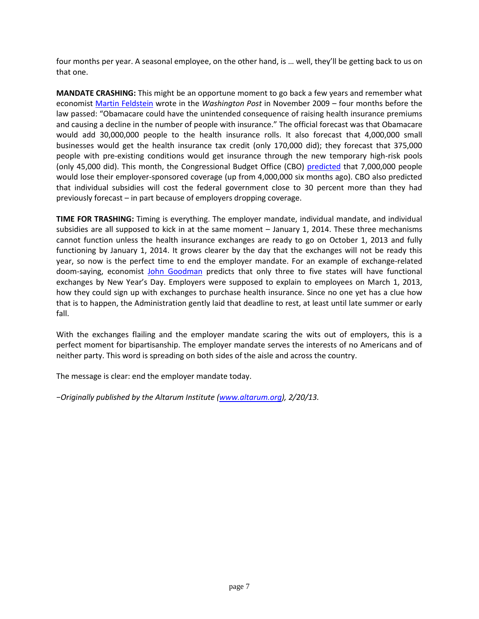four months per year. A seasonal employee, on the other hand, is … well, they'll be getting back to us on that one.

**MANDATE CRASHING:** This might be an opportune moment to go back a few years and remember what economist [Martin Feldstein](http://www.washingtonpost.com/wp-dyn/content/article/2009/11/05/AR2009110504327.html) wrote in the *Washington Post* in November 2009 – four months before the law passed: "Obamacare could have the unintended consequence of raising health insurance premiums and causing a decline in the number of people with insurance." The official forecast was that Obamacare would add 30,000,000 people to the health insurance rolls. It also forecast that 4,000,000 small businesses would get the health insurance tax credit (only 170,000 did); they forecast that 375,000 people with pre-existing conditions would get insurance through the new temporary high-risk pools (only 45,000 did). This month, the Congressional Budget Office (CBO) [predicted](http://www.cbo.gov/sites/default/files/cbofiles/attachments/43907-BudgetOutlook.pdf) that 7,000,000 people would lose their employer-sponsored coverage (up from 4,000,000 six months ago). CBO also predicted that individual subsidies will cost the federal government close to 30 percent more than they had previously forecast – in part because of employers dropping coverage.

**TIME FOR TRASHING:** Timing is everything. The employer mandate, individual mandate, and individual subsidies are all supposed to kick in at the same moment – January 1, 2014. These three mechanisms cannot function unless the health insurance exchanges are ready to go on October 1, 2013 and fully functioning by January 1, 2014. It grows clearer by the day that the exchanges will not be ready this year, so now is the perfect time to end the employer mandate. For an example of exchange-related doom-saying, economist [John Goodman](http://thehealthcareblog.com/blog/2013/01/21/obamacare%E2%80%99s-fiscal-cli/) predicts that only three to five states will have functional exchanges by New Year's Day. Employers were supposed to explain to employees on March 1, 2013, how they could sign up with exchanges to purchase health insurance. Since no one yet has a clue how that is to happen, the Administration gently laid that deadline to rest, at least until late summer or early fall.

With the exchanges flailing and the employer mandate scaring the wits out of employers, this is a perfect moment for bipartisanship. The employer mandate serves the interests of no Americans and of neither party. This word is spreading on both sides of the aisle and across the country.

The message is clear: end the employer mandate today.

*−Originally published by the Altarum Institute ([www.altarum.org\)](http://www.altarum.org/), 2/20/13.*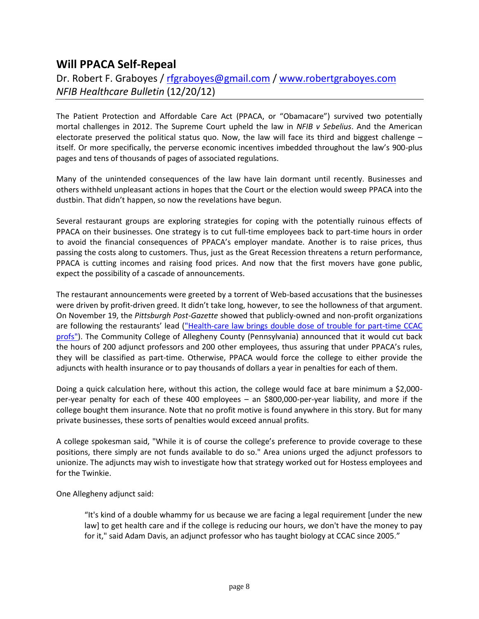## **Will PPACA Self-Repeal**

## Dr. Robert F. Graboyes / [rfgraboyes@gmail.com](mailto:rfgraboyes@gmail.com) / [www.robertgraboyes.com](http://www.robertgraboyes.com/) *NFIB Healthcare Bulletin* (12/20/12)

The Patient Protection and Affordable Care Act (PPACA, or "Obamacare") survived two potentially mortal challenges in 2012. The Supreme Court upheld the law in *NFIB v Sebelius*. And the American electorate preserved the political status quo. Now, the law will face its third and biggest challenge – itself. Or more specifically, the perverse economic incentives imbedded throughout the law's 900-plus pages and tens of thousands of pages of associated regulations.

Many of the unintended consequences of the law have lain dormant until recently. Businesses and others withheld unpleasant actions in hopes that the Court or the election would sweep PPACA into the dustbin. That didn't happen, so now the revelations have begun.

Several restaurant groups are exploring strategies for coping with the potentially ruinous effects of PPACA on their businesses. One strategy is to cut full-time employees back to part-time hours in order to avoid the financial consequences of PPACA's employer mandate. Another is to raise prices, thus passing the costs along to customers. Thus, just as the Great Recession threatens a return performance, PPACA is cutting incomes and raising food prices. And now that the first movers have gone public, expect the possibility of a cascade of announcements.

The restaurant announcements were greeted by a torrent of Web-based accusations that the businesses were driven by profit-driven greed. It didn't take long, however, to see the hollowness of that argument. On November 19, the *Pittsburgh Post-Gazette* showed that publicly-owned and non-profit organizations are following the restaurants' lead (["Health-care law brings double dose of trouble for part-time CCAC](http://www.post-gazette.com/stories/local/neighborhoods-city/health-care-law-brings-double-dose-of-trouble-for-ccac-part-time-profs-662697/)  [profs"\)](http://www.post-gazette.com/stories/local/neighborhoods-city/health-care-law-brings-double-dose-of-trouble-for-ccac-part-time-profs-662697/). The Community College of Allegheny County (Pennsylvania) announced that it would cut back the hours of 200 adjunct professors and 200 other employees, thus assuring that under PPACA's rules, they will be classified as part-time. Otherwise, PPACA would force the college to either provide the adjuncts with health insurance or to pay thousands of dollars a year in penalties for each of them.

Doing a quick calculation here, without this action, the college would face at bare minimum a \$2,000 per-year penalty for each of these 400 employees – an \$800,000-per-year liability, and more if the college bought them insurance. Note that no profit motive is found anywhere in this story. But for many private businesses, these sorts of penalties would exceed annual profits.

A college spokesman said, "While it is of course the college's preference to provide coverage to these positions, there simply are not funds available to do so." Area unions urged the adjunct professors to unionize. The adjuncts may wish to investigate how that strategy worked out for Hostess employees and for the Twinkie.

One Allegheny adjunct said:

"It's kind of a double whammy for us because we are facing a legal requirement [under the new law] to get health care and if the college is reducing our hours, we don't have the money to pay for it," said Adam Davis, an adjunct professor who has taught biology at CCAC since 2005."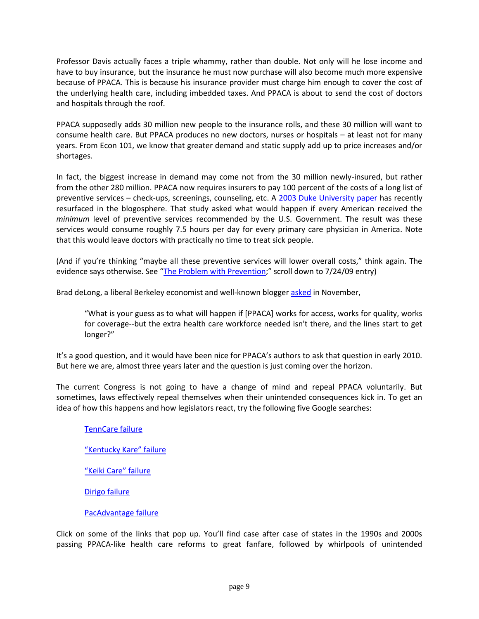Professor Davis actually faces a triple whammy, rather than double. Not only will he lose income and have to buy insurance, but the insurance he must now purchase will also become much more expensive because of PPACA. This is because his insurance provider must charge him enough to cover the cost of the underlying health care, including imbedded taxes. And PPACA is about to send the cost of doctors and hospitals through the roof.

PPACA supposedly adds 30 million new people to the insurance rolls, and these 30 million will want to consume health care. But PPACA produces no new doctors, nurses or hospitals – at least not for many years. From Econ 101, we know that greater demand and static supply add up to price increases and/or shortages.

In fact, the biggest increase in demand may come not from the 30 million newly-insured, but rather from the other 280 million. PPACA now requires insurers to pay 100 percent of the costs of a long list of preventive services – check-ups, screenings, counseling, etc. A [2003 Duke University paper](http://ajph.aphapublications.org/doi/abs/10.2105/AJPH.93.4.635) has recently resurfaced in the blogosphere. That study asked what would happen if every American received the *minimum* level of preventive services recommended by the U.S. Government. The result was these services would consume roughly 7.5 hours per day for every primary care physician in America. Note that this would leave doctors with practically no time to treat sick people.

(And if you're thinking "maybe all these preventive services will lower overall costs," think again. The evidence says otherwise. See "[The Problem with Prevention](http://www.nfib.com/LinkClick.aspx?fileticket=o17kwjvCI_w%3d&tabid=1083);" scroll down to 7/24/09 entry)

Brad deLong, a liberal Berkeley economist and well-known blogger [asked](http://delong.typepad.com/sdj/2012/11/a-question-for-aca-implementation-gurus.html) in November,

"What is your guess as to what will happen if [PPACA] works for access, works for quality, works for coverage--but the extra health care workforce needed isn't there, and the lines start to get longer?"

It's a good question, and it would have been nice for PPACA's authors to ask that question in early 2010. But here we are, almost three years later and the question is just coming over the horizon.

The current Congress is not going to have a change of mind and repeal PPACA voluntarily. But sometimes, laws effectively repeal themselves when their unintended consequences kick in. To get an idea of how this happens and how legislators react, try the following five Google searches:

[TennCare failure](http://www.google.com/#hl=en&tbo=d&output=search&sclient=psy-ab&q=TennCare+failure&oq=TennCare+failure&gs_l=hp.3..0.792.10666.0.11013.2.2.0.0.0.0.83.83.1.1.0.les%3B..0.1...1c.1.SKWeIXIJds0&pbx=1&bav=on.2,or.r_gc.r_pw.r_qf.&fp=c679866e4a8f5819&bpcl=39468505&biw=1680&bih=925) ["Kentucky Kare" failure](http://www.google.com/#hl=en&tbo=d&sclient=psy-ab&q=%E2%80%9CKentucky+Kare%E2%80%9D+failure&oq=%E2%80%9CKentucky+Kare%E2%80%9D+failure&gs_l=serp.12...17460.17460.1.18217.1.1.0.0.0.0.54.54.1.1.0.les%3B..0.0...1c.1.I4SpnkPIGQg&pbx=1&bav=on.2,or.r_gc.r_pw.r_qf.&fp=c679866e4a8f5819) ["Keiki Care" failure](http://www.google.com/#hl=en&tbo=d&sclient=psy-ab&q=%E2%80%9CKeiki+Care%E2%80%9D+failure&oq=%E2%80%9CKeiki+Care%E2%80%9D+failure&gs_l=serp.12..0i30.10404.10404.2.11231.1.1.0.0.0.0.63.63.1.1.0.les%3B..0.0...1c.1.zsPdKikB5kQ&pbx=1&bav=on.2,or.r_gc.r_pw.r_qf.&fp=c679866e4a8f5819&b) [Dirigo failure](http://www.google.com/#hl=en&tbo=d&sclient=psy-ab&q=Dirigo+failure&oq=Dirigo+failure&gs_l=serp.12..0i30j0i8i30l2.11586.11586.3.12198.1.1.0.0.0.0.54.54.1.1.0.les%3B..0.0...1c.1.GDYXw4Y8s34&pbx=1&bav=on.2,or.r_gc.r_pw.r_qf.&fp=c679866e4a8f5819&bpcl=39468505&biw=1680&bih=925)

[PacAdvantage failure](http://www.google.com/#hl=en&tbo=d&sclient=psy-ab&q=PacAdvantage+failure&oq=PacAdvantage+failure&gs_l=serp.12..0.8777.8777.4.9502.1.1.0.0.0.0.54.54.1.1.0.les%3B..0.0...1c.1.f85l-KFjIdg&pbx=1&bav=on.2,or.r_gc.r_pw.r_qf.&fp=c679866e4a8f5819&bpcl=39468505&biw=1680&bih=925)

Click on some of the links that pop up. You'll find case after case of states in the 1990s and 2000s passing PPACA-like health care reforms to great fanfare, followed by whirlpools of unintended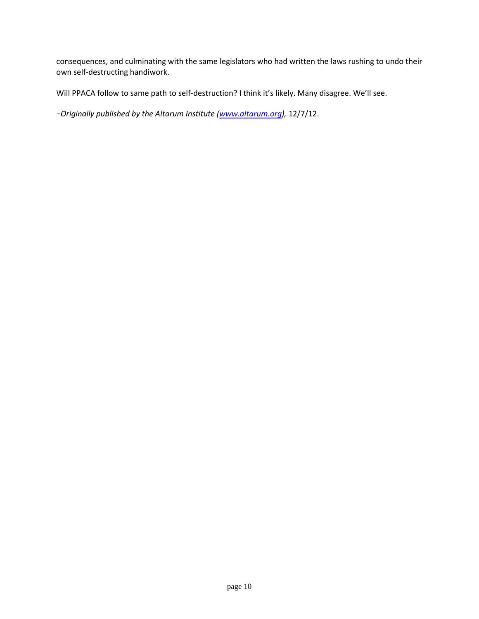consequences, and culminating with the same legislators who had written the laws rushing to undo their own self-destructing handiwork.

Will PPACA follow to same path to self-destruction? I think it's likely. Many disagree. We'll see.

*−Originally published by the Altarum Institute ([www.altarum.org\)](http://www.altarum.org/),* 12/7/12.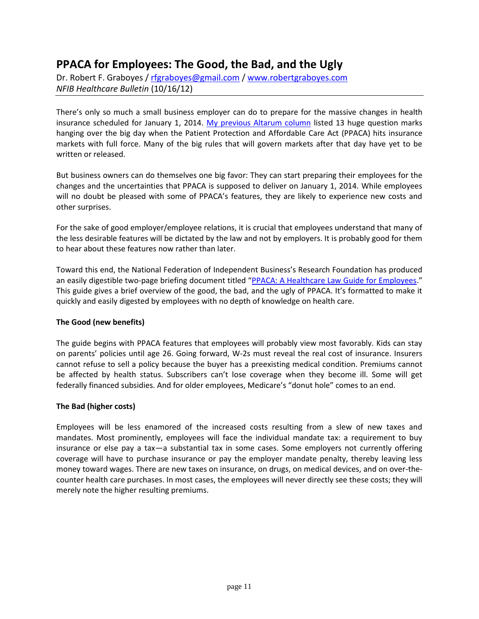# **PPACA for Employees: The Good, the Bad, and the Ugly**

Dr. Robert F. Graboyes / [rfgraboyes@gmail.com](mailto:rfgraboyes@gmail.com) / [www.robertgraboyes.com](http://www.robertgraboyes.com/) *NFIB Healthcare Bulletin* (10/16/12)

There's only so much a small business employer can do to prepare for the massive changes in health insurance scheduled for January 1, 2014. [My previous Altarum column](http://altarum.org/forum/post/behind-eight-ball-small-business-under-ppaca) listed 13 huge question marks hanging over the big day when the Patient Protection and Affordable Care Act (PPACA) hits insurance markets with full force. Many of the big rules that will govern markets after that day have yet to be written or released.

But business owners can do themselves one big favor: They can start preparing their employees for the changes and the uncertainties that PPACA is supposed to deliver on January 1, 2014. While employees will no doubt be pleased with some of PPACA's features, they are likely to experience new costs and other surprises.

For the sake of good employer/employee relations, it is crucial that employees understand that many of the less desirable features will be dictated by the law and not by employers. It is probably good for them to hear about these features now rather than later.

Toward this end, the National Federation of Independent Business's Research Foundation has produced an easily digestible two-page briefing document titled "PPACA: A [Healthcare Law Guide for Employees](http://www.nfib.com/research-foundation/cribsheets/ppaca-for-employees)." This guide gives a brief overview of the good, the bad, and the ugly of PPACA. It's formatted to make it quickly and easily digested by employees with no depth of knowledge on health care.

### **The Good (new benefits)**

The guide begins with PPACA features that employees will probably view most favorably. Kids can stay on parents' policies until age 26. Going forward, W-2s must reveal the real cost of insurance. Insurers cannot refuse to sell a policy because the buyer has a preexisting medical condition. Premiums cannot be affected by health status. Subscribers can't lose coverage when they become ill. Some will get federally financed subsidies. And for older employees, Medicare's "donut hole" comes to an end.

### **The Bad (higher costs)**

Employees will be less enamored of the increased costs resulting from a slew of new taxes and mandates. Most prominently, employees will face the individual mandate tax: a requirement to buy insurance or else pay a tax—a substantial tax in some cases. Some employers not currently offering coverage will have to purchase insurance or pay the employer mandate penalty, thereby leaving less money toward wages. There are new taxes on insurance, on drugs, on medical devices, and on over-thecounter health care purchases. In most cases, the employees will never directly see these costs; they will merely note the higher resulting premiums.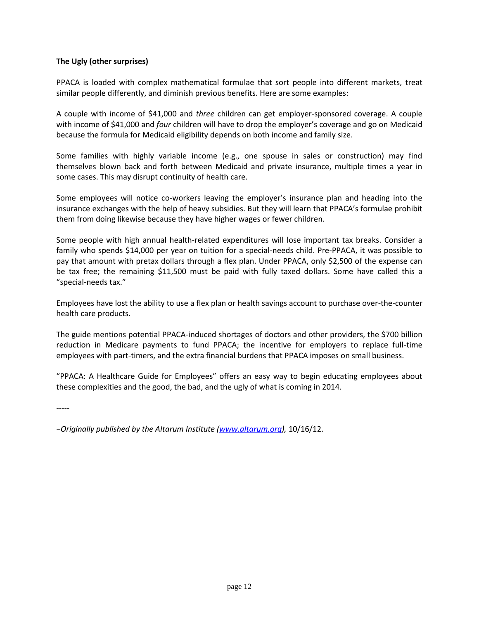#### **The Ugly (other surprises)**

PPACA is loaded with complex mathematical formulae that sort people into different markets, treat similar people differently, and diminish previous benefits. Here are some examples:

A couple with income of \$41,000 and *three* children can get employer-sponsored coverage. A couple with income of \$41,000 and *four* children will have to drop the employer's coverage and go on Medicaid because the formula for Medicaid eligibility depends on both income and family size.

Some families with highly variable income (e.g., one spouse in sales or construction) may find themselves blown back and forth between Medicaid and private insurance, multiple times a year in some cases. This may disrupt continuity of health care.

Some employees will notice co-workers leaving the employer's insurance plan and heading into the insurance exchanges with the help of heavy subsidies. But they will learn that PPACA's formulae prohibit them from doing likewise because they have higher wages or fewer children.

Some people with high annual health-related expenditures will lose important tax breaks. Consider a family who spends \$14,000 per year on tuition for a special-needs child. Pre-PPACA, it was possible to pay that amount with pretax dollars through a flex plan. Under PPACA, only \$2,500 of the expense can be tax free; the remaining \$11,500 must be paid with fully taxed dollars. Some have called this a "special-needs tax."

Employees have lost the ability to use a flex plan or health savings account to purchase over-the-counter health care products.

The guide mentions potential PPACA-induced shortages of doctors and other providers, the \$700 billion reduction in Medicare payments to fund PPACA; the incentive for employers to replace full-time employees with part-timers, and the extra financial burdens that PPACA imposes on small business.

"PPACA: A Healthcare Guide for Employees" offers an easy way to begin educating employees about these complexities and the good, the bad, and the ugly of what is coming in 2014.

-----

*−Originally published by the Altarum Institute ([www.altarum.org\)](http://www.altarum.org/),* 10/16/12.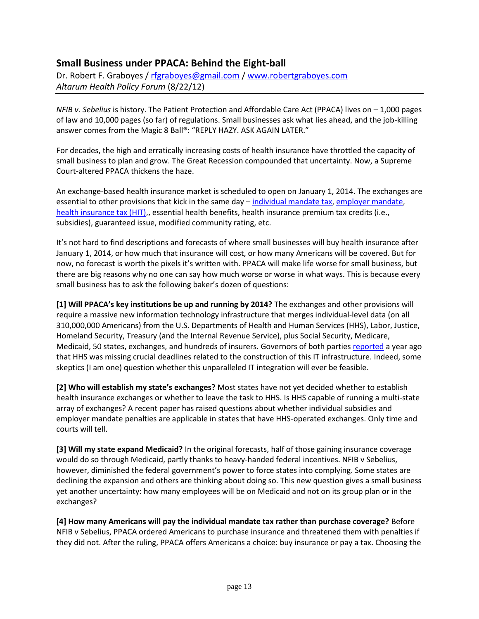## **Small Business under PPACA: Behind the Eight-ball**

Dr. Robert F. Graboyes / [rfgraboyes@gmail.com](mailto:rfgraboyes@gmail.com) / [www.robertgraboyes.com](http://www.robertgraboyes.com/) *Altarum Health Policy Forum* (8/22/12)

*NFIB v. Sebelius* is history. The Patient Protection and Affordable Care Act (PPACA) lives on – 1,000 pages of law and 10,000 pages (so far) of regulations. Small businesses ask what lies ahead, and the job-killing answer comes from the Magic 8 Ball®: "REPLY HAZY. ASK AGAIN LATER."

For decades, the high and erratically increasing costs of health insurance have throttled the capacity of small business to plan and grow. The Great Recession compounded that uncertainty. Now, a Supreme Court-altered PPACA thickens the haze.

An exchange-based health insurance market is scheduled to open on January 1, 2014. The exchanges are essential to other provisions that kick in the same day – [individual mandate tax,](http://www.nfib.com/research-foundation/cribsheets/individual-mandate) [employer mandate,](http://www.nfib.com/research-foundation/cribsheets/employer-mandate) [health insurance tax \(HIT\),](http://www.nfib.com/research-foundation/cribsheets/health-insurance-tax), essential health benefits, health insurance premium tax credits (i.e., subsidies), guaranteed issue, modified community rating, etc.

It's not hard to find descriptions and forecasts of where small businesses will buy health insurance after January 1, 2014, or how much that insurance will cost, or how many Americans will be covered. But for now, no forecast is worth the pixels it's written with. PPACA will make life worse for small business, but there are big reasons why no one can say how much worse or worse in what ways. This is because every small business has to ask the following baker's dozen of questions:

**[1] Will PPACA's key institutions be up and running by 2014?** The exchanges and other provisions will require a massive new information technology infrastructure that merges individual-level data (on all 310,000,000 Americans) from the U.S. Departments of Health and Human Services (HHS), Labor, Justice, Homeland Security, Treasury (and the Internal Revenue Service), plus Social Security, Medicare, Medicaid, 50 states, exchanges, and hundreds of insurers. Governors of both parties [reported](http://www.nga.org/files/live/sites/NGA/files/pdf/1109NGAEXCHANGESSUMMARY.PDF) a year ago that HHS was missing crucial deadlines related to the construction of this IT infrastructure. Indeed, some skeptics (I am one) question whether this unparalleled IT integration will ever be feasible.

**[2] Who will establish my state's exchanges?** Most states have not yet decided whether to establish health insurance exchanges or whether to leave the task to HHS. Is HHS capable of running a multi-state array of exchanges? A recent paper has raised questions about whether individual subsidies and employer mandate penalties are applicable in states that have HHS-operated exchanges. Only time and courts will tell.

**[3] Will my state expand Medicaid?** In the original forecasts, half of those gaining insurance coverage would do so through Medicaid, partly thanks to heavy-handed federal incentives. NFIB v Sebelius, however, diminished the federal government's power to force states into complying. Some states are declining the expansion and others are thinking about doing so. This new question gives a small business yet another uncertainty: how many employees will be on Medicaid and not on its group plan or in the exchanges?

**[4] How many Americans will pay the individual mandate tax rather than purchase coverage?** Before NFIB v Sebelius, PPACA ordered Americans to purchase insurance and threatened them with penalties if they did not. After the ruling, PPACA offers Americans a choice: buy insurance or pay a tax. Choosing the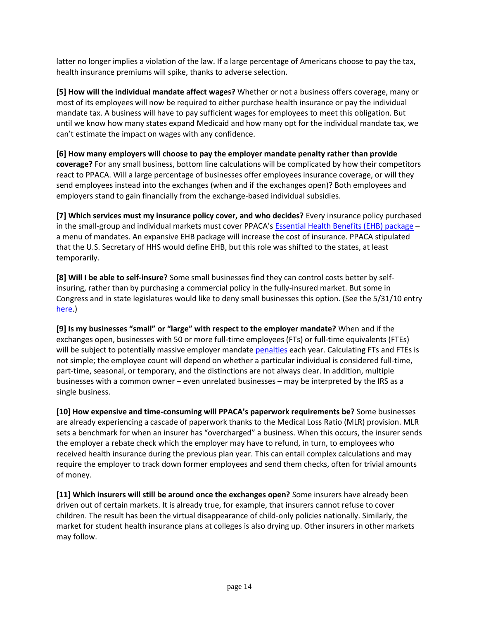latter no longer implies a violation of the law. If a large percentage of Americans choose to pay the tax, health insurance premiums will spike, thanks to adverse selection.

**[5] How will the individual mandate affect wages?** Whether or not a business offers coverage, many or most of its employees will now be required to either purchase health insurance or pay the individual mandate tax. A business will have to pay sufficient wages for employees to meet this obligation. But until we know how many states expand Medicaid and how many opt for the individual mandate tax, we can't estimate the impact on wages with any confidence.

**[6] How many employers will choose to pay the employer mandate penalty rather than provide coverage?** For any small business, bottom line calculations will be complicated by how their competitors react to PPACA. Will a large percentage of businesses offer employees insurance coverage, or will they send employees instead into the exchanges (when and if the exchanges open)? Both employees and employers stand to gain financially from the exchange-based individual subsidies.

**[7] Which services must my insurance policy cover, and who decides?** Every insurance policy purchased in the small-group and individual markets must cover PPACA's [Essential Health Benefits \(EHB\) package](http://healthpolicyforum.org/post/essential-health-benefits-secretarys-joystick) – a menu of mandates. An expansive EHB package will increase the cost of insurance. PPACA stipulated that the U.S. Secretary of HHS would define EHB, but this role was shifted to the states, at least temporarily.

**[8] Will I be able to self-insure?** Some small businesses find they can control costs better by selfinsuring, rather than by purchasing a commercial policy in the fully-insured market. But some in Congress and in state legislatures would like to deny small businesses this option. (See the 5/31/10 entry [here.](http://www.nfib.com/LinkClick.aspx?fileticket=o17kwjvCI_w%3d&tabid=1083))

**[9] Is my businesses "small" or "large" with respect to the employer mandate?** When and if the exchanges open, businesses with 50 or more full-time employees (FTs) or full-time equivalents (FTEs) will be subject to potentially massive employer mandat[e penalties](http://www.nfib.com/research-foundation/cribsheets/employer-mandate-calculations) each year. Calculating FTs and FTEs is not simple; the employee count will depend on whether a particular individual is considered full-time, part-time, seasonal, or temporary, and the distinctions are not always clear. In addition, multiple businesses with a common owner – even unrelated businesses – may be interpreted by the IRS as a single business.

**[10] How expensive and time-consuming will PPACA's paperwork requirements be?** Some businesses are already experiencing a cascade of paperwork thanks to the Medical Loss Ratio (MLR) provision. MLR sets a benchmark for when an insurer has "overcharged" a business. When this occurs, the insurer sends the employer a rebate check which the employer may have to refund, in turn, to employees who received health insurance during the previous plan year. This can entail complex calculations and may require the employer to track down former employees and send them checks, often for trivial amounts of money.

**[11] Which insurers will still be around once the exchanges open?** Some insurers have already been driven out of certain markets. It is already true, for example, that insurers cannot refuse to cover children. The result has been the virtual disappearance of child-only policies nationally. Similarly, the market for student health insurance plans at colleges is also drying up. Other insurers in other markets may follow.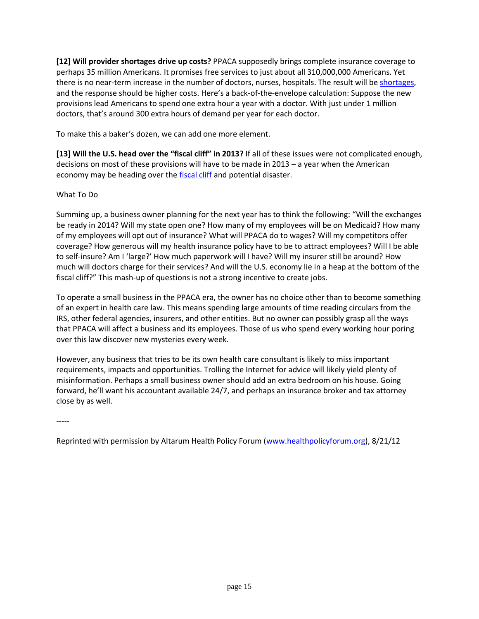**[12] Will provider shortages drive up costs?** PPACA supposedly brings complete insurance coverage to perhaps 35 million Americans. It promises free services to just about all 310,000,000 Americans. Yet there is no near-term increase in the number of doctors, nurses, hospitals. The result will b[e shortages,](http://www.nytimes.com/2012/07/29/health/policy/too-few-doctors-in-many-us-communities.html) and the response should be higher costs. Here's a back-of-the-envelope calculation: Suppose the new provisions lead Americans to spend one extra hour a year with a doctor. With just under 1 million doctors, that's around 300 extra hours of demand per year for each doctor.

To make this a baker's dozen, we can add one more element.

**[13] Will the U.S. head over the "fiscal cliff" in 2013?** If all of these issues were not complicated enough, decisions on most of these provisions will have to be made in 2013 – a year when the American economy may be heading over the [fiscal cliff](http://www.nfib.com/research-foundation/cribsheets/fiscal-cliff) and potential disaster.

### What To Do

Summing up, a business owner planning for the next year has to think the following: "Will the exchanges be ready in 2014? Will my state open one? How many of my employees will be on Medicaid? How many of my employees will opt out of insurance? What will PPACA do to wages? Will my competitors offer coverage? How generous will my health insurance policy have to be to attract employees? Will I be able to self-insure? Am I 'large?' How much paperwork will I have? Will my insurer still be around? How much will doctors charge for their services? And will the U.S. economy lie in a heap at the bottom of the fiscal cliff?" This mash-up of questions is not a strong incentive to create jobs.

To operate a small business in the PPACA era, the owner has no choice other than to become something of an expert in health care law. This means spending large amounts of time reading circulars from the IRS, other federal agencies, insurers, and other entities. But no owner can possibly grasp all the ways that PPACA will affect a business and its employees. Those of us who spend every working hour poring over this law discover new mysteries every week.

However, any business that tries to be its own health care consultant is likely to miss important requirements, impacts and opportunities. Trolling the Internet for advice will likely yield plenty of misinformation. Perhaps a small business owner should add an extra bedroom on his house. Going forward, he'll want his accountant available 24/7, and perhaps an insurance broker and tax attorney close by as well.

-----

Reprinted with permission by Altarum Health Policy Forum [\(www.healthpolicyforum.org\)](http://www.healthpolicyforum.org/), 8/21/12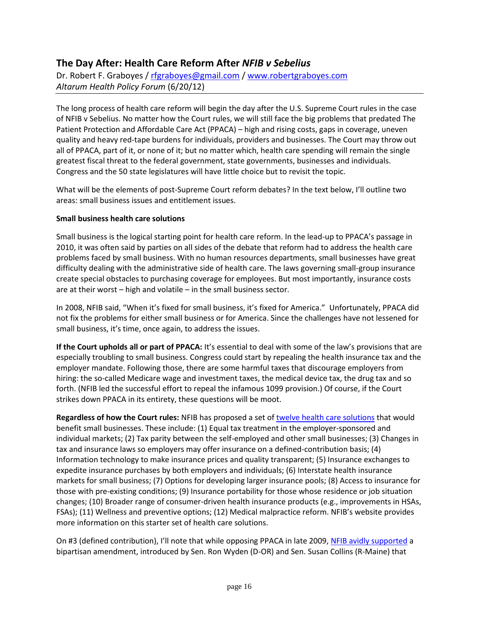## **The Day After: Health Care Reform After** *NFIB v Sebelius*

Dr. Robert F. Graboyes / [rfgraboyes@gmail.com](mailto:rfgraboyes@gmail.com) / [www.robertgraboyes.com](http://www.robertgraboyes.com/) *Altarum Health Policy Forum* (6/20/12)

The long process of health care reform will begin the day after the U.S. Supreme Court rules in the case of NFIB v Sebelius. No matter how the Court rules, we will still face the big problems that predated The Patient Protection and Affordable Care Act (PPACA) – high and rising costs, gaps in coverage, uneven quality and heavy red-tape burdens for individuals, providers and businesses. The Court may throw out all of PPACA, part of it, or none of it; but no matter which, health care spending will remain the single greatest fiscal threat to the federal government, state governments, businesses and individuals. Congress and the 50 state legislatures will have little choice but to revisit the topic.

What will be the elements of post-Supreme Court reform debates? In the text below, I'll outline two areas: small business issues and entitlement issues.

#### **Small business health care solutions**

Small business is the logical starting point for health care reform. In the lead-up to PPACA's passage in 2010, it was often said by parties on all sides of the debate that reform had to address the health care problems faced by small business. With no human resources departments, small businesses have great difficulty dealing with the administrative side of health care. The laws governing small-group insurance create special obstacles to purchasing coverage for employees. But most importantly, insurance costs are at their worst – high and volatile – in the small business sector.

In 2008, NFIB said, "When it's fixed for small business, it's fixed for America." Unfortunately, PPACA did not fix the problems for either small business or for America. Since the challenges have not lessened for small business, it's time, once again, to address the issues.

If the Court upholds all or part of PPACA: It's essential to deal with some of the law's provisions that are especially troubling to small business. Congress could start by repealing the health insurance tax and the employer mandate. Following those, there are some harmful taxes that discourage employers from hiring: the so-called Medicare wage and investment taxes, the medical device tax, the drug tax and so forth. (NFIB led the successful effort to repeal the infamous 1099 provision.) Of course, if the Court strikes down PPACA in its entirety, these questions will be moot.

**Regardless of how the Court rules:** NFIB has proposed a set of [twelve health care solutions](https://mobile.nfib.org/owa/redir.aspx?C=D7TNf4DoxkuA4Wewl-_cBSlHhaQsQc8IR1G2adMt-dNAo6GJGeXsnPKL7hKUaH3Buaf1N91Qewo.&URL=http%3a%2f%2fwww.nfib.org%2fsolutions) that would benefit small businesses. These include: (1) Equal tax treatment in the employer-sponsored and individual markets; (2) Tax parity between the self-employed and other small businesses; (3) Changes in tax and insurance laws so employers may offer insurance on a defined-contribution basis; (4) Information technology to make insurance prices and quality transparent; (5) Insurance exchanges to expedite insurance purchases by both employers and individuals; (6) Interstate health insurance markets for small business; (7) Options for developing larger insurance pools; (8) Access to insurance for those with pre-existing conditions; (9) Insurance portability for those whose residence or job situation changes; (10) Broader range of consumer-driven health insurance products (e.g., improvements in HSAs, FSAs); (11) Wellness and preventive options; (12) Medical malpractice reform. NFIB's website provides more information on this starter set of health care solutions.

On #3 (defined contribution), I'll note that while opposing PPACA in late 2009, [NFIB avidly supported](https://mobile.nfib.org/owa/redir.aspx?C=D7TNf4DoxkuA4Wewl-_cBSlHhaQsQc8IR1G2adMt-dNAo6GJGeXsnPKL7hKUaH3Buaf1N91Qewo.&URL=http%3a%2f%2fwww.nfib.com%2fadvocacy%2fitem%2fcmsid%2f50355) a bipartisan amendment, introduced by Sen. Ron Wyden (D-OR) and Sen. Susan Collins (R-Maine) that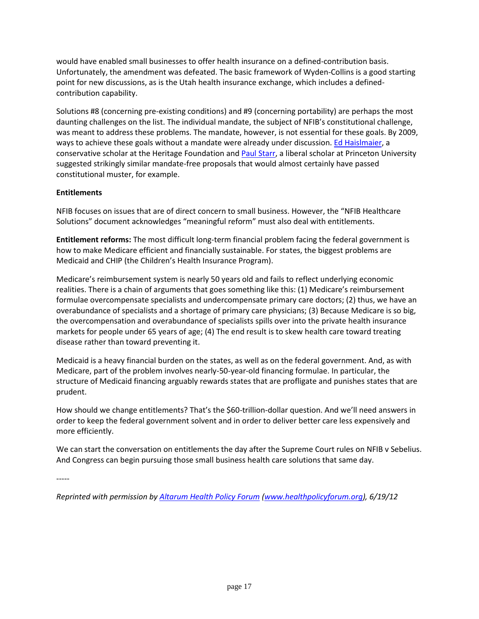would have enabled small businesses to offer health insurance on a defined-contribution basis. Unfortunately, the amendment was defeated. The basic framework of Wyden-Collins is a good starting point for new discussions, as is the Utah health insurance exchange, which includes a definedcontribution capability.

Solutions #8 (concerning pre-existing conditions) and #9 (concerning portability) are perhaps the most daunting challenges on the list. The individual mandate, the subject of NFIB's constitutional challenge, was meant to address these problems. The mandate, however, is not essential for these goals. By 2009, ways to achieve these goals without a mandate were already under discussion. [Ed Haislmaier,](https://mobile.nfib.org/owa/redir.aspx?C=D7TNf4DoxkuA4Wewl-_cBSlHhaQsQc8IR1G2adMt-dNAo6GJGeXsnPKL7hKUaH3Buaf1N91Qewo.&URL=http%3a%2f%2fdemocrats.energycommerce.house.gov%2fPress_111%2f20090317%2ftestimony_haislmaier.pdf) a conservative scholar at the Heritage Foundation an[d Paul Starr,](https://mobile.nfib.org/owa/redir.aspx?C=D7TNf4DoxkuA4Wewl-_cBSlHhaQsQc8IR1G2adMt-dNAo6GJGeXsnPKL7hKUaH3Buaf1N91Qewo.&URL=http%3a%2f%2fprospect.org%2farticle%2faverting-health-care-backlash-0) a liberal scholar at Princeton University suggested strikingly similar mandate-free proposals that would almost certainly have passed constitutional muster, for example.

### **Entitlements**

NFIB focuses on issues that are of direct concern to small business. However, the "NFIB Healthcare Solutions" document acknowledges "meaningful reform" must also deal with entitlements.

**Entitlement reforms:** The most difficult long-term financial problem facing the federal government is how to make Medicare efficient and financially sustainable. For states, the biggest problems are Medicaid and CHIP (the Children's Health Insurance Program).

Medicare's reimbursement system is nearly 50 years old and fails to reflect underlying economic realities. There is a chain of arguments that goes something like this: (1) Medicare's reimbursement formulae overcompensate specialists and undercompensate primary care doctors; (2) thus, we have an overabundance of specialists and a shortage of primary care physicians; (3) Because Medicare is so big, the overcompensation and overabundance of specialists spills over into the private health insurance markets for people under 65 years of age; (4) The end result is to skew health care toward treating disease rather than toward preventing it.

Medicaid is a heavy financial burden on the states, as well as on the federal government. And, as with Medicare, part of the problem involves nearly-50-year-old financing formulae. In particular, the structure of Medicaid financing arguably rewards states that are profligate and punishes states that are prudent.

How should we change entitlements? That's the \$60-trillion-dollar question. And we'll need answers in order to keep the federal government solvent and in order to deliver better care less expensively and more efficiently.

We can start the conversation on entitlements the day after the Supreme Court rules on NFIB v Sebelius. And Congress can begin pursuing those small business health care solutions that same day.

-----

*Reprinted with permission by [Altarum Health Policy Forum](https://mobile.nfib.org/owa/redir.aspx?C=D7TNf4DoxkuA4Wewl-_cBSlHhaQsQc8IR1G2adMt-dNAo6GJGeXsnPKL7hKUaH3Buaf1N91Qewo.&URL=http%3a%2f%2fhealthpolicyforum.org%2fpost%2fday-after-health-care-reform-after-nfib-v-sebelius) [\(www.healthpolicyforum.org\)](https://mobile.nfib.org/owa/redir.aspx?C=D7TNf4DoxkuA4Wewl-_cBSlHhaQsQc8IR1G2adMt-dNAo6GJGeXsnPKL7hKUaH3Buaf1N91Qewo.&URL=http%3a%2f%2fwww.healthpolicyforum.org), 6/19/12*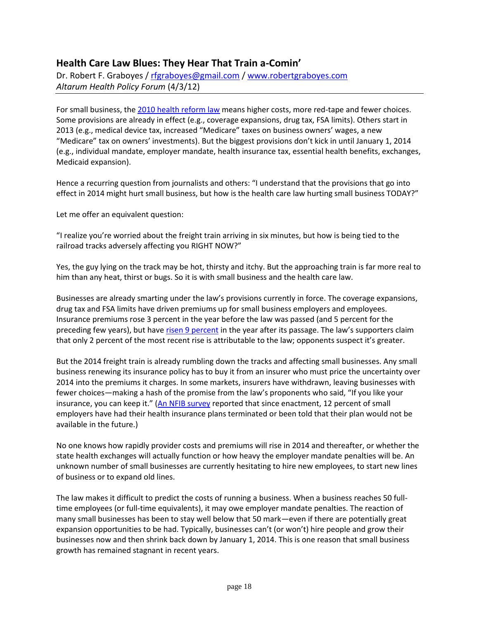### **Health Care Law Blues: They Hear That Train a-Comin'**

Dr. Robert F. Graboyes / [rfgraboyes@gmail.com](mailto:rfgraboyes@gmail.com) / [www.robertgraboyes.com](http://www.robertgraboyes.com/) *Altarum Health Policy Forum* (4/3/12)

For small business, the [2010 health reform law](http://www.nfib.com/LinkClick.aspx?fileticket=39lJugm_w4I%3d&tabid=137) means higher costs, more red-tape and fewer choices. Some provisions are already in effect (e.g., coverage expansions, drug tax, FSA limits). Others start in 2013 (e.g., medical device tax, increased "Medicare" taxes on business owners' wages, a new "Medicare" tax on owners' investments). But the biggest provisions don't kick in until January 1, 2014 (e.g., individual mandate, employer mandate, health insurance tax, essential health benefits, exchanges, Medicaid expansion).

Hence a recurring question from journalists and others: "I understand that the provisions that go into effect in 2014 might hurt small business, but how is the health care law hurting small business TODAY?"

Let me offer an equivalent question:

"I realize you're worried about the freight train arriving in six minutes, but how is being tied to the railroad tracks adversely affecting you RIGHT NOW?"

Yes, the guy lying on the track may be hot, thirsty and itchy. But the approaching train is far more real to him than any heat, thirst or bugs. So it is with small business and the health care law.

Businesses are already smarting under the law's provisions currently in force. The coverage expansions, drug tax and FSA limits have driven premiums up for small business employers and employees. Insurance premiums rose 3 percent in the year before the law was passed (and 5 percent for the preceding few years), but have [risen 9 percent](http://www.kaiserhealthnews.org/Stories/2011/September/27/Employer-Health-Coverage-Survey-Shows-Employer-Spending-Spike.aspx) in the year after its passage. The law's supporters claim that only 2 percent of the most recent rise is attributable to the law; opponents suspect it's greater.

But the 2014 freight train is already rumbling down the tracks and affecting small businesses. Any small business renewing its insurance policy has to buy it from an insurer who must price the uncertainty over 2014 into the premiums it charges. In some markets, insurers have withdrawn, leaving businesses with fewer choices—making a hash of the promise from the law's proponents who said, "If you like your insurance, you can keep it." ([An NFIB survey](http://www.nfib.com/Portals/0/PDF/AllUsers/research/studies/ppaca/NFIB-healthcare-study-201107.pdf) reported that since enactment, 12 percent of small employers have had their health insurance plans terminated or been told that their plan would not be available in the future.)

No one knows how rapidly provider costs and premiums will rise in 2014 and thereafter, or whether the state health exchanges will actually function or how heavy the employer mandate penalties will be. An unknown number of small businesses are currently hesitating to hire new employees, to start new lines of business or to expand old lines.

The law makes it difficult to predict the costs of running a business. When a business reaches 50 fulltime employees (or full-time equivalents), it may owe employer mandate penalties. The reaction of many small businesses has been to stay well below that 50 mark—even if there are potentially great expansion opportunities to be had. Typically, businesses can't (or won't) hire people and grow their businesses now and then shrink back down by January 1, 2014. This is one reason that small business growth has remained stagnant in recent years.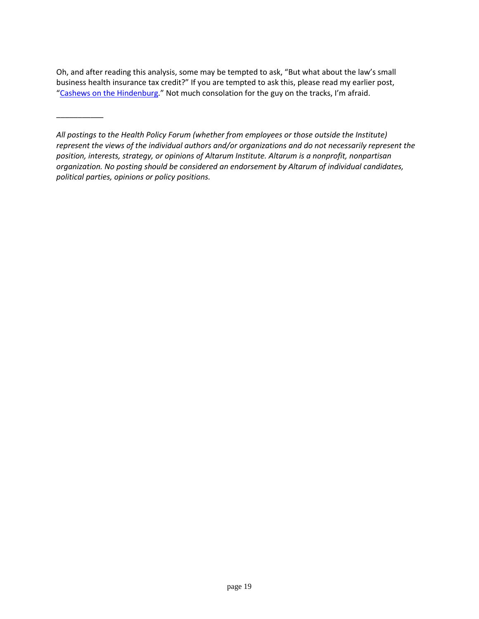Oh, and after reading this analysis, some may be tempted to ask, "But what about the law's small business health insurance tax credit?" If you are tempted to ask this, please read my earlier post, "[Cashews on the Hindenburg](http://healthpolicyforum.org/post/cashews-hindenburg)." Not much consolation for the guy on the tracks, I'm afraid.

\_\_\_\_\_\_\_\_\_\_\_

*All postings to the Health Policy Forum (whether from employees or those outside the Institute) represent the views of the individual authors and/or organizations and do not necessarily represent the position, interests, strategy, or opinions of Altarum Institute. Altarum is a nonprofit, nonpartisan organization. No posting should be considered an endorsement by Altarum of individual candidates, political parties, opinions or policy positions.*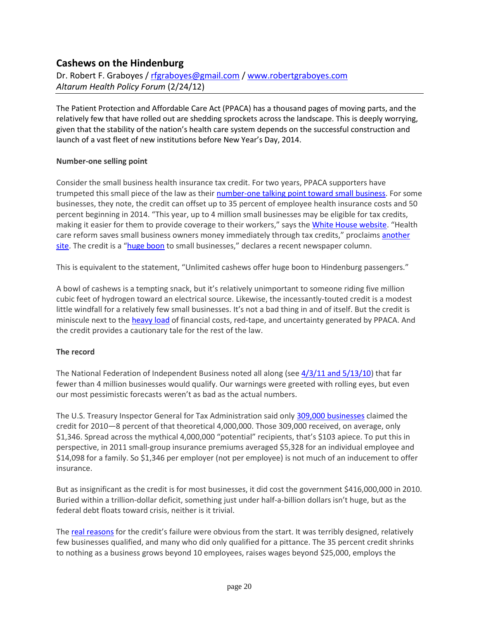## **Cashews on the Hindenburg**

Dr. Robert F. Graboyes / [rfgraboyes@gmail.com](mailto:rfgraboyes@gmail.com) / [www.robertgraboyes.com](http://www.robertgraboyes.com/) *Altarum Health Policy Forum* (2/24/12)

The Patient Protection and Affordable Care Act (PPACA) has a thousand pages of moving parts, and the relatively few that have rolled out are shedding sprockets across the landscape. This is deeply worrying, given that the stability of the nation's health care system depends on the successful construction and launch of a vast fleet of new institutions before New Year's Day, 2014.

#### **Number-one selling point**

Consider the small business health insurance tax credit. For two years, PPACA supporters have trumpeted this small piece of the law as their [number-one talking point toward small business.](http://www.commonwealthfund.org/~/media/Files/Publications/Issue%20Brief/2010/Sep/Small%20%0d%0aBusiness/1437_Collins_realizing_hlt_reform_potential_small_business_ACA_ib.pdf) For some businesses, they note, the credit can offset up to 35 percent of employee health insurance costs and 50 percent beginning in 2014. "This year, up to 4 million small businesses may be eligible for tax credits, making it easier for them to provide coverage to their workers," says the [White House website](http://www.whitehouse.gov/healthreform/relief-for-americans-and-businesses#healthcare-menu). "Health care reform saves small business owners money immediately through tax credits," proclaims another [site](http://smallbusinessmajority.org/healthcare/tax-credit.php). The credit is a "[huge boon](http://www.heritage.com/articles/2011/12/16/opinion/doc4eeb9eaa64a5f481469341.txt) to small businesses," declares a recent newspaper column.

This is equivalent to the statement, "Unlimited cashews offer huge boon to Hindenburg passengers."

A bowl of cashews is a tempting snack, but it's relatively unimportant to someone riding five million cubic feet of hydrogen toward an electrical source. Likewise, the incessantly-touted credit is a modest little windfall for a relatively few small businesses. It's not a bad thing in and of itself. But the credit is miniscule next to th[e heavy load](http://www.nfib.com/LinkClick.aspx?fileticket=pk4o5zaOWZo%3d&tabid=1083) of financial costs, red-tape, and uncertainty generated by PPACA. And the credit provides a cautionary tale for the rest of the law.

### **The record**

The National Federation of Independent Business noted all along (see  $4/3/11$  and  $5/13/10$ ) that far fewer than 4 million businesses would qualify. Our warnings were greeted with rolling eyes, but even our most pessimistic forecasts weren't as bad as the actual numbers.

The U.S. Treasury Inspector General for Tax Administration said only [309,000 businesses](http://www.treasury.gov/tigta/congress/congress_11152011.pdf) claimed the credit for 2010—8 percent of that theoretical 4,000,000. Those 309,000 received, on average, only \$1,346. Spread across the mythical 4,000,000 "potential" recipients, that's \$103 apiece. To put this in perspective, in 2011 small-group insurance premiums averaged \$5,328 for an individual employee and \$14,098 for a family. So \$1,346 per employer (not per employee) is not much of an inducement to offer insurance.

But as insignificant as the credit is for most businesses, it did cost the government \$416,000,000 in 2010. Buried within a trillion-dollar deficit, something just under half-a-billion dollars isn't huge, but as the federal debt floats toward crisis, neither is it trivial.

The [real reasons](http://www.nfib.com/LinkClick.aspx?fileticket=CXTMX8pDqCc%3d&tabid=1371) for the credit's failure were obvious from the start. It was terribly designed, relatively few businesses qualified, and many who did only qualified for a pittance. The 35 percent credit shrinks to nothing as a business grows beyond 10 employees, raises wages beyond \$25,000, employs the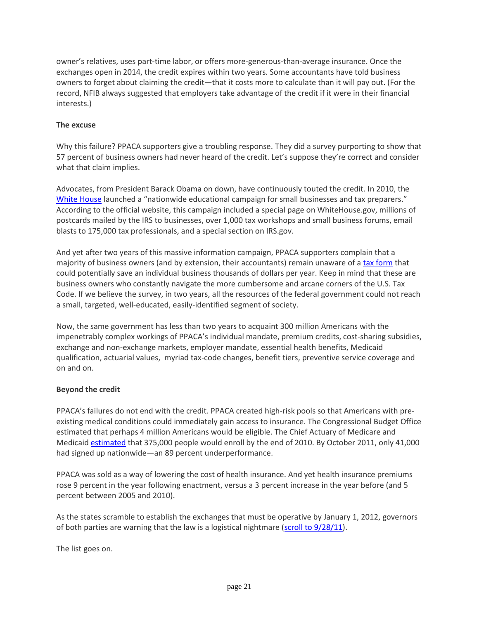owner's relatives, uses part-time labor, or offers more-generous-than-average insurance. Once the exchanges open in 2014, the credit expires within two years. Some accountants have told business owners to forget about claiming the credit—that it costs more to calculate than it will pay out. (For the record, NFIB always suggested that employers take advantage of the credit if it were in their financial interests.)

#### **The excuse**

Why this failure? PPACA supporters give a troubling response. They did a survey purporting to show that 57 percent of business owners had never heard of the credit. Let's suppose they're correct and consider what that claim implies.

Advocates, from President Barack Obama on down, have continuously touted the credit. In 2010, the [White House](http://www.whitehouse.gov/the-press-office/fact-sheet-small-business-health-care-tax-credit) launched a "nationwide educational campaign for small businesses and tax preparers." According to the official website, this campaign included a special page on WhiteHouse.gov, millions of postcards mailed by the IRS to businesses, over 1,000 tax workshops and small business forums, email blasts to 175,000 tax professionals, and a special section on IRS.gov.

And yet after two years of this massive information campaign, PPACA supporters complain that a majority of business owners (and by extension, their accountants) remain unaware of a [tax form](http://www.irs.gov/pub/irs-pdf/f8941.pdf) that could potentially save an individual business thousands of dollars per year. Keep in mind that these are business owners who constantly navigate the more cumbersome and arcane corners of the U.S. Tax Code. If we believe the survey, in two years, all the resources of the federal government could not reach a small, targeted, well-educated, easily-identified segment of society.

Now, the same government has less than two years to acquaint 300 million Americans with the impenetrably complex workings of PPACA's individual mandate, premium credits, cost-sharing subsidies, exchange and non-exchange markets, employer mandate, essential health benefits, Medicaid qualification, actuarial values, myriad tax-code changes, benefit tiers, preventive service coverage and on and on.

#### **Beyond the credit**

PPACA's failures do not end with the credit. PPACA created high-risk pools so that Americans with preexisting medical conditions could immediately gain access to insurance. The Congressional Budget Office estimated that perhaps 4 million Americans would be eligible. The Chief Actuary of Medicare and Medicaid [estimated](https://www.cms.gov/ActuarialStudies/Downloads/PPACA_2010-04-22.pdf) that 375,000 people would enroll by the end of 2010. By October 2011, only 41,000 had signed up nationwide—an 89 percent underperformance.

PPACA was sold as a way of lowering the cost of health insurance. And yet health insurance premiums rose 9 percent in the year following enactment, versus a 3 percent increase in the year before (and 5 percent between 2005 and 2010).

As the states scramble to establish the exchanges that must be operative by January 1, 2012, governors of both parties are warning that the law is a logistical nightmare [\(scroll to 9/28/11\)](http://www.nfib.com/LinkClick.aspx?fileticket=o17kwjvCI_w%3d&tabid=1083).

The list goes on.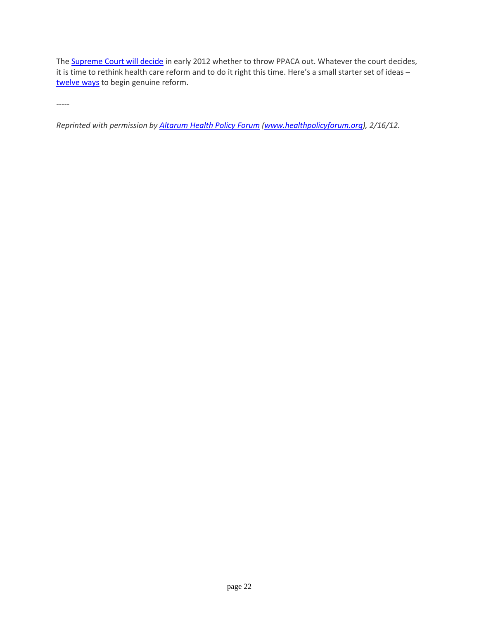The **Supreme Court will decide** in early 2012 whether to throw PPACA out. Whatever the court decides, it is time to rethink health care reform and to do it right this time. Here's a small starter set of ideas – [twelve ways](http://www.nfib.com/solutions) to begin genuine reform.

-----

*Reprinted with permission by Altarum [Health Policy Forum](http://healthpolicyforum.org/post/cashews-hindenburg) [\(www.healthpolicyforum.org\)](http://www.healthpolicyforum.org/), 2/16/12.*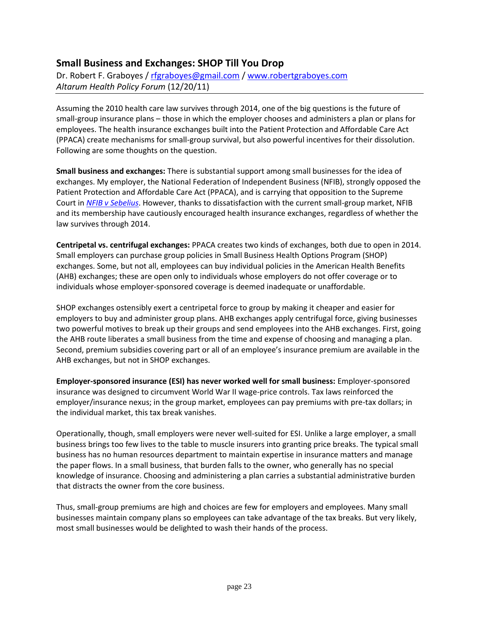## **Small Business and Exchanges: SHOP Till You Drop**

Dr. Robert F. Graboyes / [rfgraboyes@gmail.com](mailto:rfgraboyes@gmail.com) / [www.robertgraboyes.com](http://www.robertgraboyes.com/) *Altarum Health Policy Forum* (12/20/11)

Assuming the 2010 health care law survives through 2014, one of the big questions is the future of small-group insurance plans – those in which the employer chooses and administers a plan or plans for employees. The health insurance exchanges built into the Patient Protection and Affordable Care Act (PPACA) create mechanisms for small-group survival, but also powerful incentives for their dissolution. Following are some thoughts on the question.

**Small business and exchanges:** There is substantial support among small businesses for the idea of exchanges. My employer, the National Federation of Independent Business (NFIB), strongly opposed the Patient Protection and Affordable Care Act (PPACA), and is carrying that opposition to the Supreme Court in *[NFIB v Sebelius](http://www.nfib.com/lawsuit)*. However, thanks to dissatisfaction with the current small-group market, NFIB and its membership have cautiously encouraged health insurance exchanges, regardless of whether the law survives through 2014.

**Centripetal vs. centrifugal exchanges:** PPACA creates two kinds of exchanges, both due to open in 2014. Small employers can purchase group policies in Small Business Health Options Program (SHOP) exchanges. Some, but not all, employees can buy individual policies in the American Health Benefits (AHB) exchanges; these are open only to individuals whose employers do not offer coverage or to individuals whose employer-sponsored coverage is deemed inadequate or unaffordable.

SHOP exchanges ostensibly exert a centripetal force to group by making it cheaper and easier for employers to buy and administer group plans. AHB exchanges apply centrifugal force, giving businesses two powerful motives to break up their groups and send employees into the AHB exchanges. First, going the AHB route liberates a small business from the time and expense of choosing and managing a plan. Second, premium subsidies covering part or all of an employee's insurance premium are available in the AHB exchanges, but not in SHOP exchanges.

**Employer-sponsored insurance (ESI) has never worked well for small business:** Employer-sponsored insurance was designed to circumvent World War II wage-price controls. Tax laws reinforced the employer/insurance nexus; in the group market, employees can pay premiums with pre-tax dollars; in the individual market, this tax break vanishes.

Operationally, though, small employers were never well-suited for ESI. Unlike a large employer, a small business brings too few lives to the table to muscle insurers into granting price breaks. The typical small business has no human resources department to maintain expertise in insurance matters and manage the paper flows. In a small business, that burden falls to the owner, who generally has no special knowledge of insurance. Choosing and administering a plan carries a substantial administrative burden that distracts the owner from the core business.

Thus, small-group premiums are high and choices are few for employers and employees. Many small businesses maintain company plans so employees can take advantage of the tax breaks. But very likely, most small businesses would be delighted to wash their hands of the process.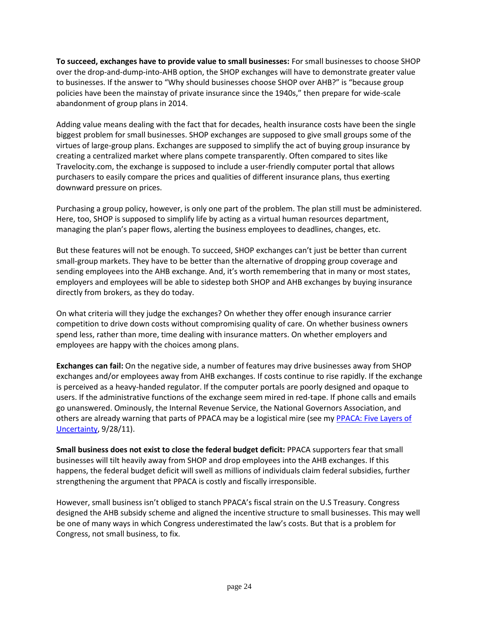**To succeed, exchanges have to provide value to small businesses:** For small businesses to choose SHOP over the drop-and-dump-into-AHB option, the SHOP exchanges will have to demonstrate greater value to businesses. If the answer to "Why should businesses choose SHOP over AHB?" is "because group policies have been the mainstay of private insurance since the 1940s," then prepare for wide-scale abandonment of group plans in 2014.

Adding value means dealing with the fact that for decades, health insurance costs have been the single biggest problem for small businesses. SHOP exchanges are supposed to give small groups some of the virtues of large-group plans. Exchanges are supposed to simplify the act of buying group insurance by creating a centralized market where plans compete transparently. Often compared to sites like Travelocity.com, the exchange is supposed to include a user-friendly computer portal that allows purchasers to easily compare the prices and qualities of different insurance plans, thus exerting downward pressure on prices.

Purchasing a group policy, however, is only one part of the problem. The plan still must be administered. Here, too, SHOP is supposed to simplify life by acting as a virtual human resources department, managing the plan's paper flows, alerting the business employees to deadlines, changes, etc.

But these features will not be enough. To succeed, SHOP exchanges can't just be better than current small-group markets. They have to be better than the alternative of dropping group coverage and sending employees into the AHB exchange. And, it's worth remembering that in many or most states, employers and employees will be able to sidestep both SHOP and AHB exchanges by buying insurance directly from brokers, as they do today.

On what criteria will they judge the exchanges? On whether they offer enough insurance carrier competition to drive down costs without compromising quality of care. On whether business owners spend less, rather than more, time dealing with insurance matters. On whether employers and employees are happy with the choices among plans.

**Exchanges can fail:** On the negative side, a number of features may drive businesses away from SHOP exchanges and/or employees away from AHB exchanges. If costs continue to rise rapidly. If the exchange is perceived as a heavy-handed regulator. If the computer portals are poorly designed and opaque to users. If the administrative functions of the exchange seem mired in red-tape. If phone calls and emails go unanswered. Ominously, the Internal Revenue Service, the National Governors Association, and others are already warning that parts of PPACA may be a logistical mire (see my [PPACA: Five Layers of](http://www.nfib.com/LinkClick.aspx?fileticket=o17kwjvCI_w%3d&tabid=1083)  [Uncertainty,](http://www.nfib.com/LinkClick.aspx?fileticket=o17kwjvCI_w%3d&tabid=1083) 9/28/11).

**Small business does not exist to close the federal budget deficit:** PPACA supporters fear that small businesses will tilt heavily away from SHOP and drop employees into the AHB exchanges. If this happens, the federal budget deficit will swell as millions of individuals claim federal subsidies, further strengthening the argument that PPACA is costly and fiscally irresponsible.

However, small business isn't obliged to stanch PPACA's fiscal strain on the U.S Treasury. Congress designed the AHB subsidy scheme and aligned the incentive structure to small businesses. This may well be one of many ways in which Congress underestimated the law's costs. But that is a problem for Congress, not small business, to fix.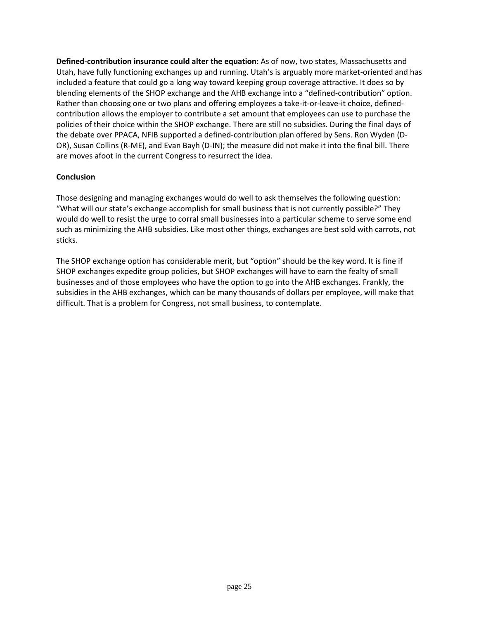**Defined-contribution insurance could alter the equation:** As of now, two states, Massachusetts and Utah, have fully functioning exchanges up and running. Utah's is arguably more market-oriented and has included a feature that could go a long way toward keeping group coverage attractive. It does so by blending elements of the SHOP exchange and the AHB exchange into a "defined-contribution" option. Rather than choosing one or two plans and offering employees a take-it-or-leave-it choice, definedcontribution allows the employer to contribute a set amount that employees can use to purchase the policies of their choice within the SHOP exchange. There are still no subsidies. During the final days of the debate over PPACA, NFIB supported a defined-contribution plan offered by Sens. Ron Wyden (D-OR), Susan Collins (R-ME), and Evan Bayh (D-IN); the measure did not make it into the final bill. There are moves afoot in the current Congress to resurrect the idea.

#### **Conclusion**

Those designing and managing exchanges would do well to ask themselves the following question: "What will our state's exchange accomplish for small business that is not currently possible?" They would do well to resist the urge to corral small businesses into a particular scheme to serve some end such as minimizing the AHB subsidies. Like most other things, exchanges are best sold with carrots, not sticks.

The SHOP exchange option has considerable merit, but "option" should be the key word. It is fine if SHOP exchanges expedite group policies, but SHOP exchanges will have to earn the fealty of small businesses and of those employees who have the option to go into the AHB exchanges. Frankly, the subsidies in the AHB exchanges, which can be many thousands of dollars per employee, will make that difficult. That is a problem for Congress, not small business, to contemplate.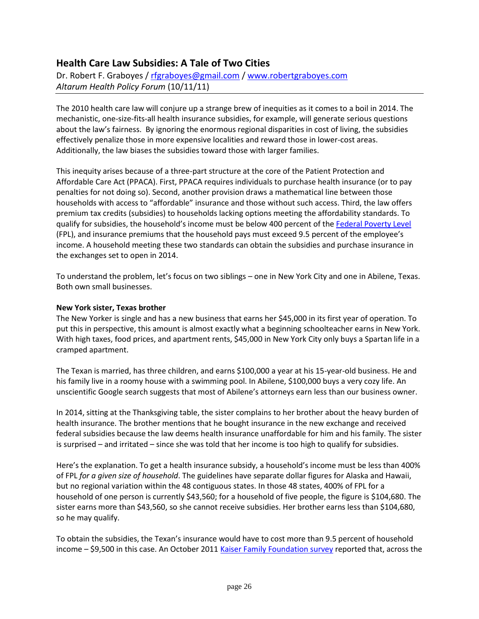## **Health Care Law Subsidies: A Tale of Two Cities**

Dr. Robert F. Graboyes / [rfgraboyes@gmail.com](mailto:rfgraboyes@gmail.com) / [www.robertgraboyes.com](http://www.robertgraboyes.com/) *Altarum Health Policy Forum* (10/11/11)

The 2010 health care law will conjure up a strange brew of inequities as it comes to a boil in 2014. The mechanistic, one-size-fits-all health insurance subsidies, for example, will generate serious questions about the law's fairness. By ignoring the enormous regional disparities in cost of living, the subsidies effectively penalize those in more expensive localities and reward those in lower-cost areas. Additionally, the law biases the subsidies toward those with larger families.

This inequity arises because of a three-part structure at the core of the Patient Protection and Affordable Care Act (PPACA). First, PPACA requires individuals to purchase health insurance (or to pay penalties for not doing so). Second, another provision draws a mathematical line between those households with access to "affordable" insurance and those without such access. Third, the law offers premium tax credits (subsidies) to households lacking options meeting the affordability standards. To qualify for subsidies, the household's income must be below 400 percent of the [Federal Poverty Level](http://aspe.hhs.gov/poverty/11poverty.shtml) (FPL), and insurance premiums that the household pays must exceed 9.5 percent of the employee's income. A household meeting these two standards can obtain the subsidies and purchase insurance in the exchanges set to open in 2014.

To understand the problem, let's focus on two siblings – one in New York City and one in Abilene, Texas. Both own small businesses.

### **New York sister, Texas brother**

The New Yorker is single and has a new business that earns her \$45,000 in its first year of operation. To put this in perspective, this amount is almost exactly what a beginning schoolteacher earns in New York. With high taxes, food prices, and apartment rents, \$45,000 in New York City only buys a Spartan life in a cramped apartment.

The Texan is married, has three children, and earns \$100,000 a year at his 15-year-old business. He and his family live in a roomy house with a swimming pool. In Abilene, \$100,000 buys a very cozy life. An unscientific Google search suggests that most of Abilene's attorneys earn less than our business owner.

In 2014, sitting at the Thanksgiving table, the sister complains to her brother about the heavy burden of health insurance. The brother mentions that he bought insurance in the new exchange and received federal subsidies because the law deems health insurance unaffordable for him and his family. The sister is surprised – and irritated – since she was told that her income is too high to qualify for subsidies.

Here's the explanation. To get a health insurance subsidy, a household's income must be less than 400% of FPL *for a given size of household*. The guidelines have separate dollar figures for Alaska and Hawaii, but no regional variation within the 48 contiguous states. In those 48 states, 400% of FPL for a household of one person is currently \$43,560; for a household of five people, the figure is \$104,680. The sister earns more than \$43,560, so she cannot receive subsidies. Her brother earns less than \$104,680, so he may qualify.

To obtain the subsidies, the Texan's insurance would have to cost more than 9.5 percent of household income – \$9,500 in this case. An October 201[1 Kaiser Family Foundation survey](http://www.kaiserhealthnews.org/Stories/2011/September/27/Employer-Health-Coverage-Survey-Shows-Employer-Spending-Spike.aspx) reported that, across the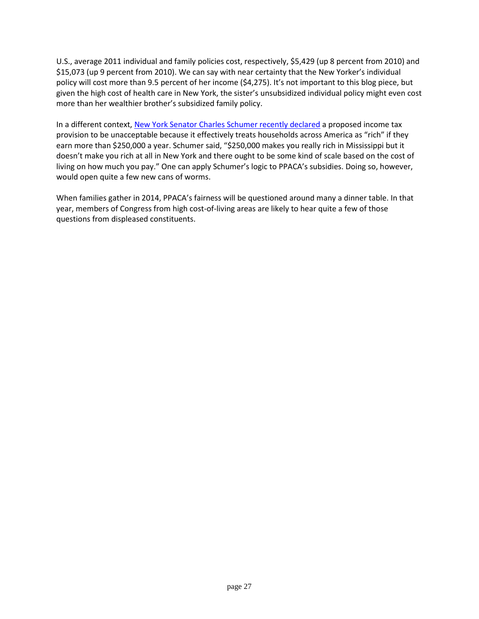U.S., average 2011 individual and family policies cost, respectively, \$5,429 (up 8 percent from 2010) and \$15,073 (up 9 percent from 2010). We can say with near certainty that the New Yorker's individual policy will cost more than 9.5 percent of her income (\$4,275). It's not important to this blog piece, but given the high cost of health care in New York, the sister's unsubsidized individual policy might even cost more than her wealthier brother's subsidized family policy.

In a different context[, New York Senator Charles Schumer recently declared](http://newyork.cbslocal.com/2011/09/19/sen-schumer-expresses-reservations-about-president-obamas-tax-plan/) a proposed income tax provision to be unacceptable because it effectively treats households across America as "rich" if they earn more than \$250,000 a year. Schumer said, "\$250,000 makes you really rich in Mississippi but it doesn't make you rich at all in New York and there ought to be some kind of scale based on the cost of living on how much you pay." One can apply Schumer's logic to PPACA's subsidies. Doing so, however, would open quite a few new cans of worms.

When families gather in 2014, PPACA's fairness will be questioned around many a dinner table. In that year, members of Congress from high cost-of-living areas are likely to hear quite a few of those questions from displeased constituents.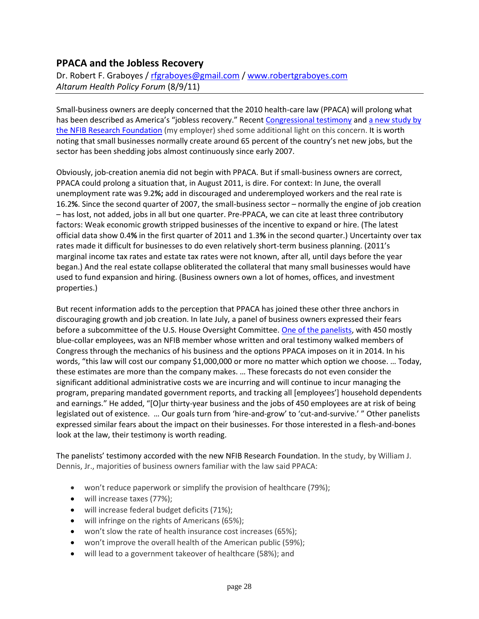### **PPACA and the Jobless Recovery**

Dr. Robert F. Graboyes / [rfgraboyes@gmail.com](mailto:rfgraboyes@gmail.com) / [www.robertgraboyes.com](http://www.robertgraboyes.com/) *Altarum Health Policy Forum* (8/9/11)

Small-business owners are deeply concerned that the 2010 health-care law (PPACA) will prolong what has been described as America's "jobless recovery." Recent [Congressional testimony](http://oversight.house.gov/index.php?option=com_content&view=article&id=1394%3A7-28-11-qimpact-of-obamacare-on-job-creators-and-their-decision-to-offer-health-insuranceq&catid=35&Itemid=40) and a new study by [the NFIB Research Foundation](http://www.nfib.com/research-foundation/surveys/healthcare-year1) (my employer) shed some additional light on this concern. It is worth noting that small businesses normally create around 65 percent of the country's net new jobs, but the sector has been shedding jobs almost continuously since early 2007.

Obviously, job-creation anemia did not begin with PPACA. But if small-business owners are correct, PPACA could prolong a situation that, in August 2011, is dire. For context: In June, the overall unemployment rate was 9.2**%;** add in discouraged and underemployed workers and the real rate is 16.2**%**. Since the second quarter of 2007, the small-business sector – normally the engine of job creation – has lost, not added, jobs in all but one quarter. Pre-PPACA, we can cite at least three contributory factors: Weak economic growth stripped businesses of the incentive to expand or hire. (The latest official data show 0.4**%** in the first quarter of 2011 and 1.3**%** in the second quarter.) Uncertainty over tax rates made it difficult for businesses to do even relatively short-term business planning. (2011's marginal income tax rates and estate tax rates were not known, after all, until days before the year began.) And the real estate collapse obliterated the collateral that many small businesses would have used to fund expansion and hiring. (Business owners own a lot of homes, offices, and investment properties.)

But recent information adds to the perception that PPACA has joined these other three anchors in discouraging growth and job creation. In late July, a panel of business owners expressed their fears before a subcommittee of the U.S. House Oversight Committee. [One of the panelists,](http://oversight.house.gov/images/stories/Testimony/7-28-11_Grady_Payne_Health_Care_Testimony.pdf) with 450 mostly blue-collar employees, was an NFIB member whose written and oral testimony walked members of Congress through the mechanics of his business and the options PPACA imposes on it in 2014. In his words, "this law will cost our company \$1,000,000 or more no matter which option we choose. … Today, these estimates are more than the company makes. … These forecasts do not even consider the significant additional administrative costs we are incurring and will continue to incur managing the program, preparing mandated government reports, and tracking all [employees'] household dependents and earnings." He added, "[O]ur thirty-year business and the jobs of 450 employees are at risk of being legislated out of existence. … Our goals turn from 'hire-and-grow' to 'cut-and-survive.' " Other panelists expressed similar fears about the impact on their businesses. For those interested in a flesh-and-bones look at the law, their testimony is worth reading.

The panelists' testimony accorded with the new NFIB Research Foundation. In the study, by William J. Dennis, Jr., majorities of business owners familiar with the law said PPACA:

- won't reduce paperwork or simplify the provision of healthcare (79%);
- will increase taxes (77%);
- will increase federal budget deficits (71%);
- will infringe on the rights of Americans (65%);
- won't slow the rate of health insurance cost increases (65%);
- won't improve the overall health of the American public (59%);
- will lead to a government takeover of healthcare (58%); and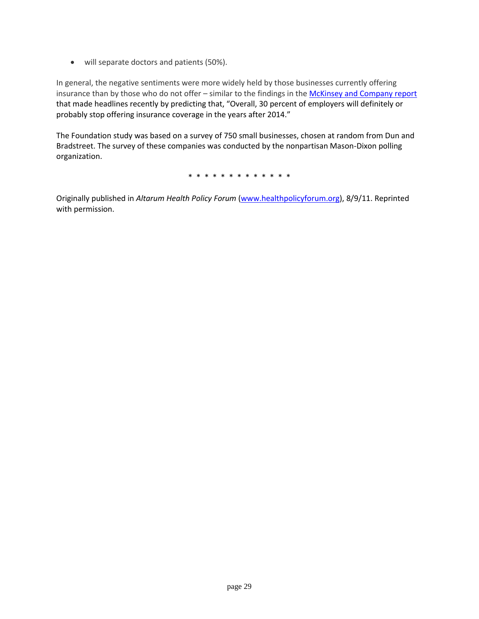will separate doctors and patients (50%).

In general, the negative sentiments were more widely held by those businesses currently offering insurance than by those who do not offer – similar to the findings in the [McKinsey and Company report](http://www.mckinseyquarterly.com/How_US_health_care_reform_will_affect_employee_benefits_2813) that made headlines recently by predicting that, "Overall, 30 percent of employers will definitely or probably stop offering insurance coverage in the years after 2014."

The Foundation study was based on a survey of 750 small businesses, chosen at random from Dun and Bradstreet. The survey of these companies was conducted by the nonpartisan Mason-Dixon polling organization.

\* \* \* \* \* \* \* \* \* \* \* \* \*

Originally published in *Altarum Health Policy Forum* [\(www.healthpolicyforum.org\)](http://www.healthpolicyforum.org/), 8/9/11. Reprinted with permission.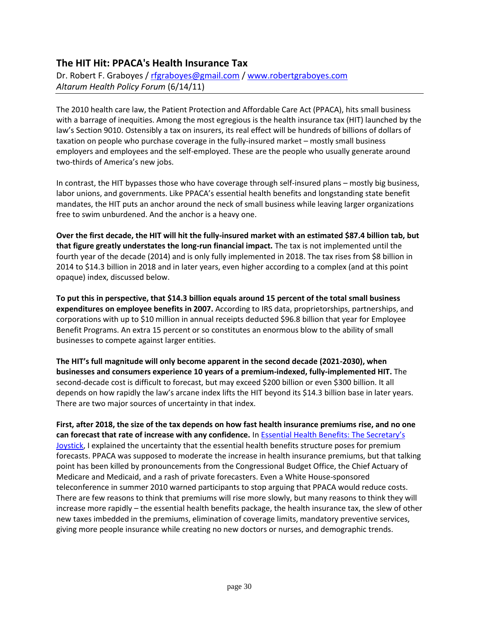## **The HIT Hit: PPACA's Health Insurance Tax**

Dr. Robert F. Graboyes / [rfgraboyes@gmail.com](mailto:rfgraboyes@gmail.com) / [www.robertgraboyes.com](http://www.robertgraboyes.com/) *Altarum Health Policy Forum* (6/14/11)

The 2010 health care law, the Patient Protection and Affordable Care Act (PPACA), hits small business with a barrage of inequities. Among the most egregious is the health insurance tax (HIT) launched by the law's Section 9010. Ostensibly a tax on insurers, its real effect will be hundreds of billions of dollars of taxation on people who purchase coverage in the fully-insured market – mostly small business employers and employees and the self-employed. These are the people who usually generate around two-thirds of America's new jobs.

In contrast, the HIT bypasses those who have coverage through self-insured plans – mostly big business, labor unions, and governments. Like PPACA's essential health benefits and longstanding state benefit mandates, the HIT puts an anchor around the neck of small business while leaving larger organizations free to swim unburdened. And the anchor is a heavy one.

**Over the first decade, the HIT will hit the fully-insured market with an estimated \$87.4 billion tab, but that figure greatly understates the long-run financial impact.** The tax is not implemented until the fourth year of the decade (2014) and is only fully implemented in 2018. The tax rises from \$8 billion in 2014 to \$14.3 billion in 2018 and in later years, even higher according to a complex (and at this point opaque) index, discussed below.

**To put this in perspective, that \$14.3 billion equals around 15 percent of the total small business expenditures on employee benefits in 2007.** According to IRS data, proprietorships, partnerships, and corporations with up to \$10 million in annual receipts deducted \$96.8 billion that year for Employee Benefit Programs. An extra 15 percent or so constitutes an enormous blow to the ability of small businesses to compete against larger entities.

**The HIT's full magnitude will only become apparent in the second decade (2021-2030), when businesses and consumers experience 10 years of a premium-indexed, fully-implemented HIT.** The second-decade cost is difficult to forecast, but may exceed \$200 billion or even \$300 billion. It all depends on how rapidly the law's arcane index lifts the HIT beyond its \$14.3 billion base in later years. There are two major sources of uncertainty in that index.

**First, after 2018, the size of the tax depends on how fast health insurance premiums rise, and no one can forecast that rate of increase with any confidence.** In [Essential Health Benefits: The Secretary's](http://www.healthpolicyforum.org/2011/05/essential-health-benefits-the-secretary%E2%80%99s-joystick/)  [Joystick,](http://www.healthpolicyforum.org/2011/05/essential-health-benefits-the-secretary%E2%80%99s-joystick/) I explained the uncertainty that the essential health benefits structure poses for premium forecasts. PPACA was supposed to moderate the increase in health insurance premiums, but that talking point has been killed by pronouncements from the Congressional Budget Office, the Chief Actuary of Medicare and Medicaid, and a rash of private forecasters. Even a White House-sponsored teleconference in summer 2010 warned participants to stop arguing that PPACA would reduce costs. There are few reasons to think that premiums will rise more slowly, but many reasons to think they will increase more rapidly – the essential health benefits package, the health insurance tax, the slew of other new taxes imbedded in the premiums, elimination of coverage limits, mandatory preventive services, giving more people insurance while creating no new doctors or nurses, and demographic trends.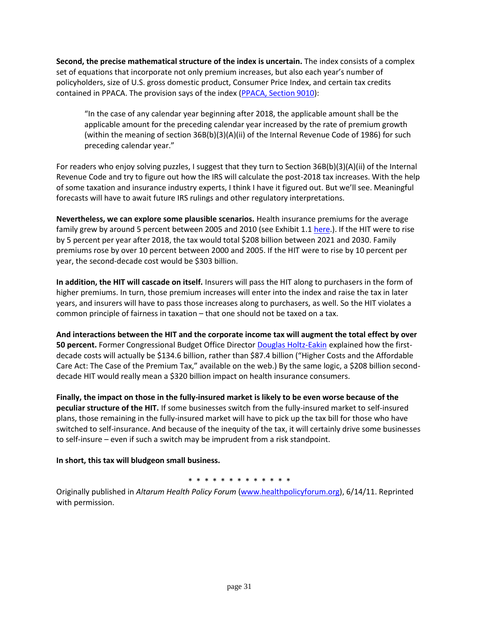**Second, the precise mathematical structure of the index is uncertain.** The index consists of a complex set of equations that incorporate not only premium increases, but also each year's number of policyholders, size of U.S. gross domestic product, Consumer Price Index, and certain tax credits contained in PPACA. The provision says of the index [\(PPACA, Section 9010\)](http://www.ncsl.org/documents/health/ppaca-consolidated.pdf):

"In the case of any calendar year beginning after 2018, the applicable amount shall be the applicable amount for the preceding calendar year increased by the rate of premium growth (within the meaning of section 36B(b)(3)(A)(ii) of the Internal Revenue Code of 1986) for such preceding calendar year."

For readers who enjoy solving puzzles, I suggest that they turn to Section 36B(b)(3)(A)(ii) of the Internal Revenue Code and try to figure out how the IRS will calculate the post-2018 tax increases. With the help of some taxation and insurance industry experts, I think I have it figured out. But we'll see. Meaningful forecasts will have to await future IRS rulings and other regulatory interpretations.

**Nevertheless, we can explore some plausible scenarios.** Health insurance premiums for the average family grew by around 5 percent between 2005 and 2010 (see Exhibit 1.1 [here.](http://ehbs.kff.org/pdf/2010/8085.pdf)). If the HIT were to rise by 5 percent per year after 2018, the tax would total \$208 billion between 2021 and 2030. Family premiums rose by over 10 percent between 2000 and 2005. If the HIT were to rise by 10 percent per year, the second-decade cost would be \$303 billion.

**In addition, the HIT will cascade on itself.** Insurers will pass the HIT along to purchasers in the form of higher premiums. In turn, those premium increases will enter into the index and raise the tax in later years, and insurers will have to pass those increases along to purchasers, as well. So the HIT violates a common principle of fairness in taxation – that one should not be taxed on a tax.

**And interactions between the HIT and the corporate income tax will augment the total effect by over 50 percent.** Former Congressional Budget Office Director [Douglas Holtz-Eakin](http://americanactionforum.org/sites/default/files/Case%20of%20the%20Premium%20Tax.pdf) explained how the firstdecade costs will actually be \$134.6 billion, rather than \$87.4 billion ("Higher Costs and the Affordable Care Act: The Case of the Premium Tax," available on the web.) By the same logic, a \$208 billion seconddecade HIT would really mean a \$320 billion impact on health insurance consumers.

**Finally, the impact on those in the fully-insured market is likely to be even worse because of the peculiar structure of the HIT.** If some businesses switch from the fully-insured market to self-insured plans, those remaining in the fully-insured market will have to pick up the tax bill for those who have switched to self-insurance. And because of the inequity of the tax, it will certainly drive some businesses to self-insure – even if such a switch may be imprudent from a risk standpoint.

**In short, this tax will bludgeon small business.**

\* \* \* \* \* \* \* \* \* \* \* \* \*

Originally published in *Altarum Health Policy Forum* [\(www.healthpolicyforum.org\)](http://www.healthpolicyforum.org/), 6/14/11. Reprinted with permission.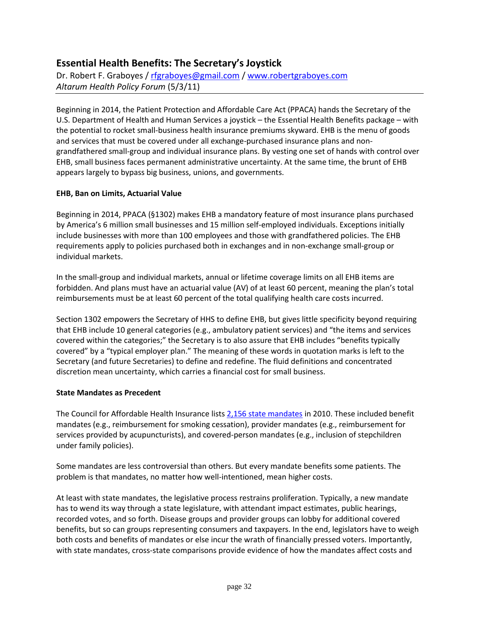## **Essential Health Benefits: The Secretary's Joystick**

Dr. Robert F. Graboyes / [rfgraboyes@gmail.com](mailto:rfgraboyes@gmail.com) / [www.robertgraboyes.com](http://www.robertgraboyes.com/) *Altarum Health Policy Forum* (5/3/11)

Beginning in 2014, the Patient Protection and Affordable Care Act (PPACA) hands the Secretary of the U.S. Department of Health and Human Services a joystick – the Essential Health Benefits package – with the potential to rocket small-business health insurance premiums skyward. EHB is the menu of goods and services that must be covered under all exchange-purchased insurance plans and nongrandfathered small-group and individual insurance plans. By vesting one set of hands with control over EHB, small business faces permanent administrative uncertainty. At the same time, the brunt of EHB appears largely to bypass big business, unions, and governments.

### **EHB, Ban on Limits, Actuarial Value**

Beginning in 2014, PPACA (§1302) makes EHB a mandatory feature of most insurance plans purchased by America's 6 million small businesses and 15 million self-employed individuals. Exceptions initially include businesses with more than 100 employees and those with grandfathered policies. The EHB requirements apply to policies purchased both in exchanges and in non-exchange small-group or individual markets.

In the small-group and individual markets, annual or lifetime coverage limits on all EHB items are forbidden. And plans must have an actuarial value (AV) of at least 60 percent, meaning the plan's total reimbursements must be at least 60 percent of the total qualifying health care costs incurred.

Section 1302 empowers the Secretary of HHS to define EHB, but gives little specificity beyond requiring that EHB include 10 general categories (e.g., ambulatory patient services) and "the items and services covered within the categories;" the Secretary is to also assure that EHB includes "benefits typically covered" by a "typical employer plan." The meaning of these words in quotation marks is left to the Secretary (and future Secretaries) to define and redefine. The fluid definitions and concentrated discretion mean uncertainty, which carries a financial cost for small business.

#### **State Mandates as Precedent**

The Council for Affordable Health Insurance lists [2,156 state mandates](http://www.cahi.org/cahi_contents/resources/pdf/MandatesintheStates2010.pdf) in 2010. These included benefit mandates (e.g., reimbursement for smoking cessation), provider mandates (e.g., reimbursement for services provided by acupuncturists), and covered-person mandates (e.g., inclusion of stepchildren under family policies).

Some mandates are less controversial than others. But every mandate benefits some patients. The problem is that mandates, no matter how well-intentioned, mean higher costs.

At least with state mandates, the legislative process restrains proliferation. Typically, a new mandate has to wend its way through a state legislature, with attendant impact estimates, public hearings, recorded votes, and so forth. Disease groups and provider groups can lobby for additional covered benefits, but so can groups representing consumers and taxpayers. In the end, legislators have to weigh both costs and benefits of mandates or else incur the wrath of financially pressed voters. Importantly, with state mandates, cross-state comparisons provide evidence of how the mandates affect costs and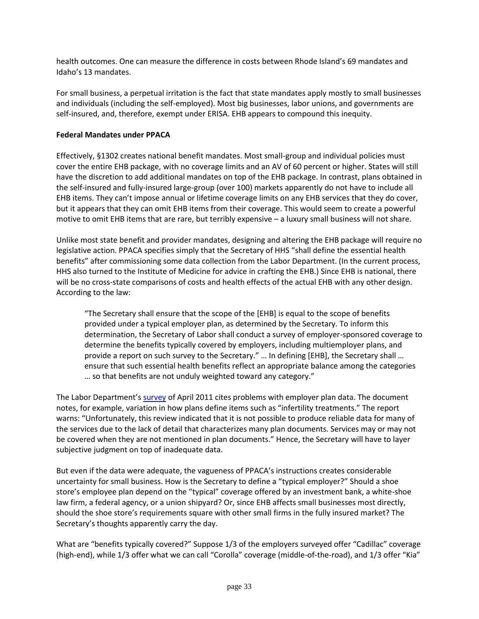health outcomes. One can measure the difference in costs between Rhode Island's 69 mandates and Idaho's 13 mandates.

For small business, a perpetual irritation is the fact that state mandates apply mostly to small businesses and individuals (including the self-employed). Most big businesses, labor unions, and governments are self-insured, and, therefore, exempt under ERISA. EHB appears to compound this inequity.

#### **Federal Mandates under PPACA**

Effectively, §1302 creates national benefit mandates. Most small-group and individual policies must cover the entire EHB package, with no coverage limits and an AV of 60 percent or higher. States will still have the discretion to add additional mandates on top of the EHB package. In contrast, plans obtained in the self-insured and fully-insured large-group (over 100) markets apparently do not have to include all EHB items. They can't impose annual or lifetime coverage limits on any EHB services that they do cover, but it appears that they can omit EHB items from their coverage. This would seem to create a powerful motive to omit EHB items that are rare, but terribly expensive – a luxury small business will not share.

Unlike most state benefit and provider mandates, designing and altering the EHB package will require no legislative action. PPACA specifies simply that the Secretary of HHS "shall define the essential health benefits" after commissioning some data collection from the Labor Department. (In the current process, HHS also turned to the Institute of Medicine for advice in crafting the EHB.) Since EHB is national, there will be no cross-state comparisons of costs and health effects of the actual EHB with any other design. According to the law:

"The Secretary shall ensure that the scope of the [EHB] is equal to the scope of benefits provided under a typical employer plan, as determined by the Secretary. To inform this determination, the Secretary of Labor shall conduct a survey of employer-sponsored coverage to determine the benefits typically covered by employers, including multiemployer plans, and provide a report on such survey to the Secretary." … In defining [EHB], the Secretary shall … ensure that such essential health benefits reflect an appropriate balance among the categories … so that benefits are not unduly weighted toward any category."

The Labor Department's [survey](http://www.bls.gov/ncs/ebs/sp/selmedbensreport.pdf) of April 2011 cites problems with employer plan data. The document notes, for example, variation in how plans define items such as "infertility treatments." The report warns: "Unfortunately, this review indicated that it is not possible to produce reliable data for many of the services due to the lack of detail that characterizes many plan documents. Services may or may not be covered when they are not mentioned in plan documents." Hence, the Secretary will have to layer subjective judgment on top of inadequate data.

But even if the data were adequate, the vagueness of PPACA's instructions creates considerable uncertainty for small business. How is the Secretary to define a "typical employer?" Should a shoe store's employee plan depend on the "typical" coverage offered by an investment bank, a white-shoe law firm, a federal agency, or a union shipyard? Or, since EHB affects small businesses most directly, should the shoe store's requirements square with other small firms in the fully insured market? The Secretary's thoughts apparently carry the day.

What are "benefits typically covered?" Suppose 1/3 of the employers surveyed offer "Cadillac" coverage (high-end), while 1/3 offer what we can call "Corolla" coverage (middle-of-the-road), and 1/3 offer "Kia"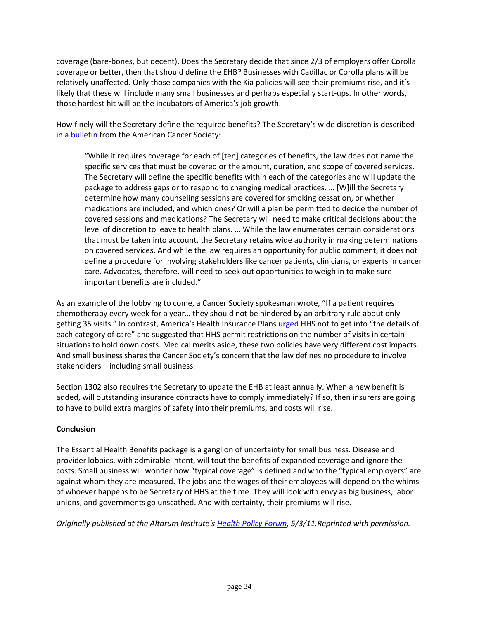coverage (bare-bones, but decent). Does the Secretary decide that since 2/3 of employers offer Corolla coverage or better, then that should define the EHB? Businesses with Cadillac or Corolla plans will be relatively unaffected. Only those companies with the Kia policies will see their premiums rise, and it's likely that these will include many small businesses and perhaps especially start-ups. In other words, those hardest hit will be the incubators of America's job growth.

How finely will the Secretary define the required benefits? The Secretary's wide discretion is described in [a bulletin](http://www.acscan.org/pdf/healthcare/implementation/background/EssentialHealthBenefits.pdf) from the American Cancer Society:

"While it requires coverage for each of [ten] categories of benefits, the law does not name the specific services that must be covered or the amount, duration, and scope of covered services. The Secretary will define the specific benefits within each of the categories and will update the package to address gaps or to respond to changing medical practices. … [W]ill the Secretary determine how many counseling sessions are covered for smoking cessation, or whether medications are included, and which ones? Or will a plan be permitted to decide the number of covered sessions and medications? The Secretary will need to make critical decisions about the level of discretion to leave to health plans. … While the law enumerates certain considerations that must be taken into account, the Secretary retains wide authority in making determinations on covered services. And while the law requires an opportunity for public comment, it does not define a procedure for involving stakeholders like cancer patients, clinicians, or experts in cancer care. Advocates, therefore, will need to seek out opportunities to weigh in to make sure important benefits are included."

As an example of the lobbying to come, a Cancer Society spokesman wrote, "If a patient requires chemotherapy every week for a year… they should not be hindered by an arbitrary rule about only getting 35 visits." In contrast, America's Health Insurance Plans [urged](http://www.kaiserhealthnews.org/Stories/2011/January/10/health-insurance-benefits-package-iom.aspx?p=1) HHS not to get into "the details of each category of care" and suggested that HHS permit restrictions on the number of visits in certain situations to hold down costs. Medical merits aside, these two policies have very different cost impacts. And small business shares the Cancer Society's concern that the law defines no procedure to involve stakeholders – including small business.

Section 1302 also requires the Secretary to update the EHB at least annually. When a new benefit is added, will outstanding insurance contracts have to comply immediately? If so, then insurers are going to have to build extra margins of safety into their premiums, and costs will rise.

### **Conclusion**

The Essential Health Benefits package is a ganglion of uncertainty for small business. Disease and provider lobbies, with admirable intent, will tout the benefits of expanded coverage and ignore the costs. Small business will wonder how "typical coverage" is defined and who the "typical employers" are against whom they are measured. The jobs and the wages of their employees will depend on the whims of whoever happens to be Secretary of HHS at the time. They will look with envy as big business, labor unions, and governments go unscathed. And with certainty, their premiums will rise.

*Originally published at the Altarum Institute's [Health Policy Forum,](http://www.healthpolicyforum.org/) 5/3/11.Reprinted with permission.*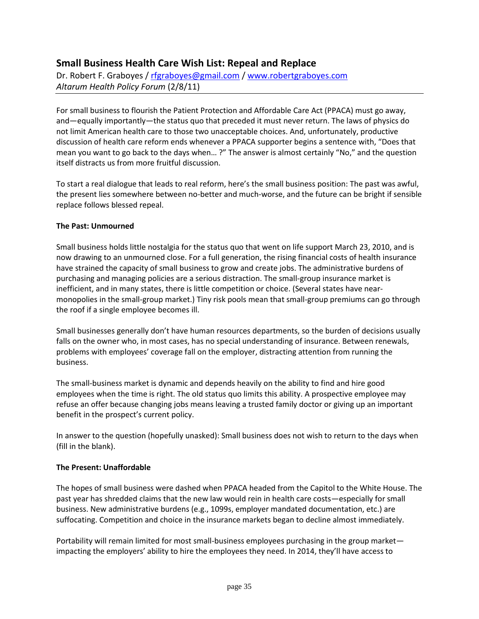## **Small Business Health Care Wish List: Repeal and Replace**

Dr. Robert F. Graboyes / [rfgraboyes@gmail.com](mailto:rfgraboyes@gmail.com) / [www.robertgraboyes.com](http://www.robertgraboyes.com/) *Altarum Health Policy Forum* (2/8/11)

For small business to flourish the Patient Protection and Affordable Care Act (PPACA) must go away, and—equally importantly—the status quo that preceded it must never return. The laws of physics do not limit American health care to those two unacceptable choices. And, unfortunately, productive discussion of health care reform ends whenever a PPACA supporter begins a sentence with, "Does that mean you want to go back to the days when… ?" The answer is almost certainly "No," and the question itself distracts us from more fruitful discussion.

To start a real dialogue that leads to real reform, here's the small business position: The past was awful, the present lies somewhere between no-better and much-worse, and the future can be bright if sensible replace follows blessed repeal.

#### **The Past: Unmourned**

Small business holds little nostalgia for the status quo that went on life support March 23, 2010, and is now drawing to an unmourned close. For a full generation, the rising financial costs of health insurance have strained the capacity of small business to grow and create jobs. The administrative burdens of purchasing and managing policies are a serious distraction. The small-group insurance market is inefficient, and in many states, there is little competition or choice. (Several states have nearmonopolies in the small-group market.) Tiny risk pools mean that small-group premiums can go through the roof if a single employee becomes ill.

Small businesses generally don't have human resources departments, so the burden of decisions usually falls on the owner who, in most cases, has no special understanding of insurance. Between renewals, problems with employees' coverage fall on the employer, distracting attention from running the business.

The small-business market is dynamic and depends heavily on the ability to find and hire good employees when the time is right. The old status quo limits this ability. A prospective employee may refuse an offer because changing jobs means leaving a trusted family doctor or giving up an important benefit in the prospect's current policy.

In answer to the question (hopefully unasked): Small business does not wish to return to the days when (fill in the blank).

#### **The Present: Unaffordable**

The hopes of small business were dashed when PPACA headed from the Capitol to the White House. The past year has shredded claims that the new law would rein in health care costs—especially for small business. New administrative burdens (e.g., 1099s, employer mandated documentation, etc.) are suffocating. Competition and choice in the insurance markets began to decline almost immediately.

Portability will remain limited for most small-business employees purchasing in the group market impacting the employers' ability to hire the employees they need. In 2014, they'll have access to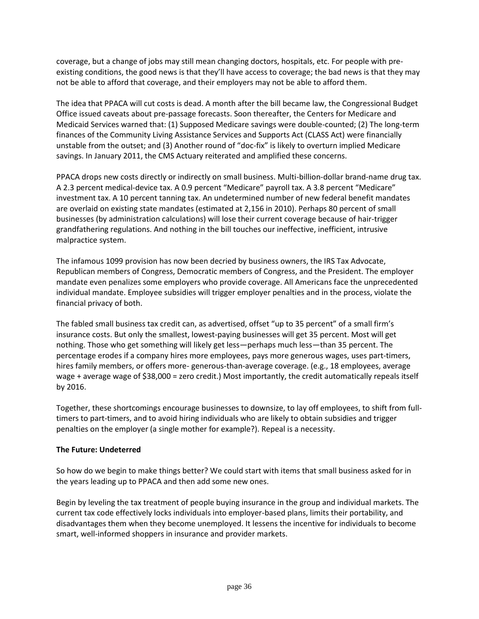coverage, but a change of jobs may still mean changing doctors, hospitals, etc. For people with preexisting conditions, the good news is that they'll have access to coverage; the bad news is that they may not be able to afford that coverage, and their employers may not be able to afford them.

The idea that PPACA will cut costs is dead. A month after the bill became law, the Congressional Budget Office issued caveats about pre-passage forecasts. Soon thereafter, the Centers for Medicare and Medicaid Services warned that: (1) Supposed Medicare savings were double-counted; (2) The long-term finances of the Community Living Assistance Services and Supports Act (CLASS Act) were financially unstable from the outset; and (3) Another round of "doc-fix" is likely to overturn implied Medicare savings. In January 2011, the CMS Actuary reiterated and amplified these concerns.

PPACA drops new costs directly or indirectly on small business. Multi-billion-dollar brand-name drug tax. A 2.3 percent medical-device tax. A 0.9 percent "Medicare" payroll tax. A 3.8 percent "Medicare" investment tax. A 10 percent tanning tax. An undetermined number of new federal benefit mandates are overlaid on existing state mandates (estimated at 2,156 in 2010). Perhaps 80 percent of small businesses (by administration calculations) will lose their current coverage because of hair-trigger grandfathering regulations. And nothing in the bill touches our ineffective, inefficient, intrusive malpractice system.

The infamous 1099 provision has now been decried by business owners, the IRS Tax Advocate, Republican members of Congress, Democratic members of Congress, and the President. The employer mandate even penalizes some employers who provide coverage. All Americans face the unprecedented individual mandate. Employee subsidies will trigger employer penalties and in the process, violate the financial privacy of both.

The fabled small business tax credit can, as advertised, offset "up to 35 percent" of a small firm's insurance costs. But only the smallest, lowest-paying businesses will get 35 percent. Most will get nothing. Those who get something will likely get less—perhaps much less—than 35 percent. The percentage erodes if a company hires more employees, pays more generous wages, uses part-timers, hires family members, or offers more- generous-than-average coverage. (e.g., 18 employees, average wage + average wage of \$38,000 = zero credit.) Most importantly, the credit automatically repeals itself by 2016.

Together, these shortcomings encourage businesses to downsize, to lay off employees, to shift from fulltimers to part-timers, and to avoid hiring individuals who are likely to obtain subsidies and trigger penalties on the employer (a single mother for example?). Repeal is a necessity.

### **The Future: Undeterred**

So how do we begin to make things better? We could start with items that small business asked for in the years leading up to PPACA and then add some new ones.

Begin by leveling the tax treatment of people buying insurance in the group and individual markets. The current tax code effectively locks individuals into employer-based plans, limits their portability, and disadvantages them when they become unemployed. It lessens the incentive for individuals to become smart, well-informed shoppers in insurance and provider markets.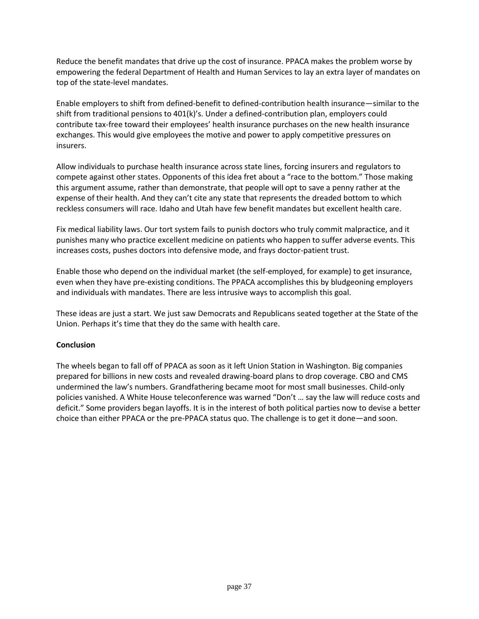Reduce the benefit mandates that drive up the cost of insurance. PPACA makes the problem worse by empowering the federal Department of Health and Human Services to lay an extra layer of mandates on top of the state-level mandates.

Enable employers to shift from defined-benefit to defined-contribution health insurance—similar to the shift from traditional pensions to 401(k)'s. Under a defined-contribution plan, employers could contribute tax-free toward their employees' health insurance purchases on the new health insurance exchanges. This would give employees the motive and power to apply competitive pressures on insurers.

Allow individuals to purchase health insurance across state lines, forcing insurers and regulators to compete against other states. Opponents of this idea fret about a "race to the bottom." Those making this argument assume, rather than demonstrate, that people will opt to save a penny rather at the expense of their health. And they can't cite any state that represents the dreaded bottom to which reckless consumers will race. Idaho and Utah have few benefit mandates but excellent health care.

Fix medical liability laws. Our tort system fails to punish doctors who truly commit malpractice, and it punishes many who practice excellent medicine on patients who happen to suffer adverse events. This increases costs, pushes doctors into defensive mode, and frays doctor-patient trust.

Enable those who depend on the individual market (the self-employed, for example) to get insurance, even when they have pre-existing conditions. The PPACA accomplishes this by bludgeoning employers and individuals with mandates. There are less intrusive ways to accomplish this goal.

These ideas are just a start. We just saw Democrats and Republicans seated together at the State of the Union. Perhaps it's time that they do the same with health care.

#### **Conclusion**

The wheels began to fall off of PPACA as soon as it left Union Station in Washington. Big companies prepared for billions in new costs and revealed drawing-board plans to drop coverage. CBO and CMS undermined the law's numbers. Grandfathering became moot for most small businesses. Child-only policies vanished. A White House teleconference was warned "Don't … say the law will reduce costs and deficit." Some providers began layoffs. It is in the interest of both political parties now to devise a better choice than either PPACA or the pre-PPACA status quo. The challenge is to get it done—and soon.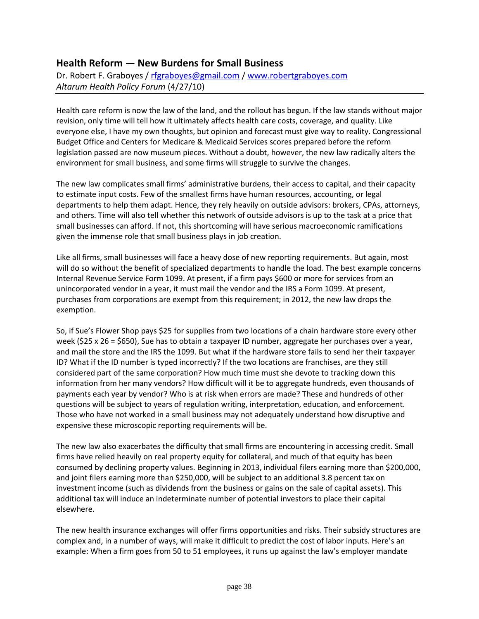## **Health Reform — New Burdens for Small Business**

Dr. Robert F. Graboyes / [rfgraboyes@gmail.com](mailto:rfgraboyes@gmail.com) / [www.robertgraboyes.com](http://www.robertgraboyes.com/) *Altarum Health Policy Forum* (4/27/10)

Health care reform is now the law of the land, and the rollout has begun. If the law stands without major revision, only time will tell how it ultimately affects health care costs, coverage, and quality. Like everyone else, I have my own thoughts, but opinion and forecast must give way to reality. Congressional Budget Office and Centers for Medicare & Medicaid Services scores prepared before the reform legislation passed are now museum pieces. Without a doubt, however, the new law radically alters the environment for small business, and some firms will struggle to survive the changes.

The new law complicates small firms' administrative burdens, their access to capital, and their capacity to estimate input costs. Few of the smallest firms have human resources, accounting, or legal departments to help them adapt. Hence, they rely heavily on outside advisors: brokers, CPAs, attorneys, and others. Time will also tell whether this network of outside advisors is up to the task at a price that small businesses can afford. If not, this shortcoming will have serious macroeconomic ramifications given the immense role that small business plays in job creation.

Like all firms, small businesses will face a heavy dose of new reporting requirements. But again, most will do so without the benefit of specialized departments to handle the load. The best example concerns Internal Revenue Service Form 1099. At present, if a firm pays \$600 or more for services from an unincorporated vendor in a year, it must mail the vendor and the IRS a Form 1099. At present, purchases from corporations are exempt from this requirement; in 2012, the new law drops the exemption.

So, if Sue's Flower Shop pays \$25 for supplies from two locations of a chain hardware store every other week (\$25 x 26 = \$650), Sue has to obtain a taxpayer ID number, aggregate her purchases over a year, and mail the store and the IRS the 1099. But what if the hardware store fails to send her their taxpayer ID? What if the ID number is typed incorrectly? If the two locations are franchises, are they still considered part of the same corporation? How much time must she devote to tracking down this information from her many vendors? How difficult will it be to aggregate hundreds, even thousands of payments each year by vendor? Who is at risk when errors are made? These and hundreds of other questions will be subject to years of regulation writing, interpretation, education, and enforcement. Those who have not worked in a small business may not adequately understand how disruptive and expensive these microscopic reporting requirements will be.

The new law also exacerbates the difficulty that small firms are encountering in accessing credit. Small firms have relied heavily on real property equity for collateral, and much of that equity has been consumed by declining property values. Beginning in 2013, individual filers earning more than \$200,000, and joint filers earning more than \$250,000, will be subject to an additional 3.8 percent tax on investment income (such as dividends from the business or gains on the sale of capital assets). This additional tax will induce an indeterminate number of potential investors to place their capital elsewhere.

The new health insurance exchanges will offer firms opportunities and risks. Their subsidy structures are complex and, in a number of ways, will make it difficult to predict the cost of labor inputs. Here's an example: When a firm goes from 50 to 51 employees, it runs up against the law's employer mandate